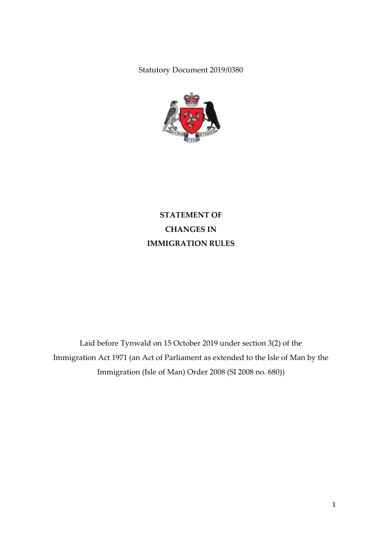Statutory Document 2019/0380



**STATEMENT OF CHANGES IN IMMIGRATION RULES**

Laid before Tynwald on 15 October 2019 under section 3(2) of the Immigration Act 1971 (an Act of Parliament as extended to the Isle of Man by the Immigration (Isle of Man) Order 2008 (SI 2008 no. 680))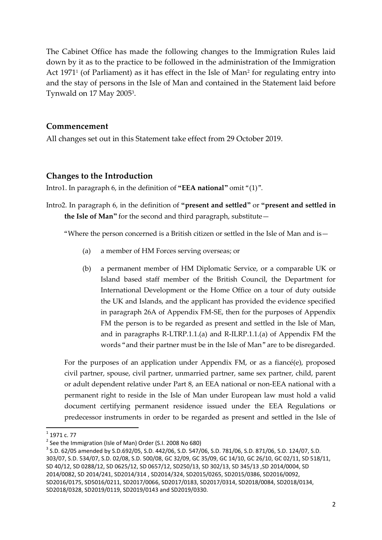The Cabinet Office has made the following changes to the Immigration Rules laid down by it as to the practice to be followed in the administration of the Immigration Act 1971<sup>1</sup> (of Parliament) as it has effect in the Isle of Man<sup>2</sup> for regulating entry into and the stay of persons in the Isle of Man and contained in the Statement laid before Tynwald on 17 May 2005<sup>3</sup>.

#### **Commencement**

All changes set out in this Statement take effect from 29 October 2019.

### **Changes to the Introduction**

Intro1. In paragraph 6, in the definition of **"EEA national"** omit "(1)".

Intro2. In paragraph 6, in the definition of **"present and settled"** or **"present and settled in the Isle of Man"** for the second and third paragraph, substitute—

"Where the person concerned is a British citizen or settled in the Isle of Man and is—

- (a) a member of HM Forces serving overseas; or
- (b) a permanent member of HM Diplomatic Service, or a comparable UK or Island based staff member of the British Council, the Department for International Development or the Home Office on a tour of duty outside the UK and Islands, and the applicant has provided the evidence specified in paragraph 26A of Appendix FM-SE, then for the purposes of Appendix FM the person is to be regarded as present and settled in the Isle of Man, and in paragraphs R-LTRP.1.1.(a) and R-ILRP.1.1.(a) of Appendix FM the words "and their partner must be in the Isle of Man" are to be disregarded.

For the purposes of an application under Appendix FM, or as a fiancé(e), proposed civil partner, spouse, civil partner, unmarried partner, same sex partner, child, parent or adult dependent relative under Part 8, an EEA national or non-EEA national with a permanent right to reside in the Isle of Man under European law must hold a valid document certifying permanent residence issued under the EEA Regulations or predecessor instruments in order to be regarded as present and settled in the Isle of

**.** 

 $^{1}$  1971 c. 77

<sup>&</sup>lt;sup>2</sup> See the Immigration (Isle of Man) Order (S.I. 2008 No 680)

<sup>3</sup> S.D. 62/05 amended by S.D.692/05, S.D. 442/06, S.D. 547/06, S.D. 781/06, S.D. 871/06, S.D. 124/07, S.D. 303/07, S.D. 534/07, S.D. 02/08, S.D. 500/08, GC 32/09, GC 35/09, GC 14/10, GC 26/10, GC 02/11, SD 518/11, SD 40/12, SD 0288/12, SD 0625/12, SD 0657/12, SD250/13, SD 302/13, SD 345/13 ,SD 2014/0004, SD 2014/0082, SD 2014/241, SD2014/314 , SD2014/324, SD2015/0265, SD2015/0386, SD2016/0092, SD2016/0175, SD5016/0211, SD2017/0066, SD2017/0183, SD2017/0314, SD2018/0084, SD2018/0134, SD2018/0328, SD2019/0119, SD2019/0143 and SD2019/0330.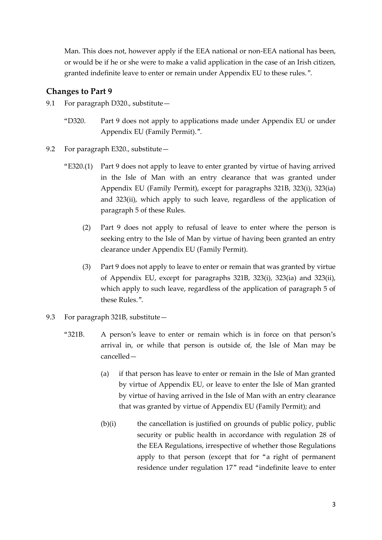Man. This does not, however apply if the EEA national or non-EEA national has been, or would be if he or she were to make a valid application in the case of an Irish citizen, granted indefinite leave to enter or remain under Appendix EU to these rules.".

### **Changes to Part 9**

- 9.1 For paragraph D320., substitute-
	- "D320. Part 9 does not apply to applications made under Appendix EU or under Appendix EU (Family Permit).".
- 9.2 For paragraph E320., substitute—
	- "E320.(1) Part 9 does not apply to leave to enter granted by virtue of having arrived in the Isle of Man with an entry clearance that was granted under Appendix EU (Family Permit), except for paragraphs 321B, 323(i), 323(ia) and 323(ii), which apply to such leave, regardless of the application of paragraph 5 of these Rules.
		- (2) Part 9 does not apply to refusal of leave to enter where the person is seeking entry to the Isle of Man by virtue of having been granted an entry clearance under Appendix EU (Family Permit).
		- (3) Part 9 does not apply to leave to enter or remain that was granted by virtue of Appendix EU, except for paragraphs 321B, 323(i), 323(ia) and 323(ii), which apply to such leave, regardless of the application of paragraph 5 of these Rules.".
- 9.3 For paragraph 321B, substitute—
	- "321B. A person's leave to enter or remain which is in force on that person's arrival in, or while that person is outside of, the Isle of Man may be cancelled—
		- (a) if that person has leave to enter or remain in the Isle of Man granted by virtue of Appendix EU, or leave to enter the Isle of Man granted by virtue of having arrived in the Isle of Man with an entry clearance that was granted by virtue of Appendix EU (Family Permit); and
		- (b)(i) the cancellation is justified on grounds of public policy, public security or public health in accordance with regulation 28 of the EEA Regulations, irrespective of whether those Regulations apply to that person (except that for "a right of permanent residence under regulation 17" read "indefinite leave to enter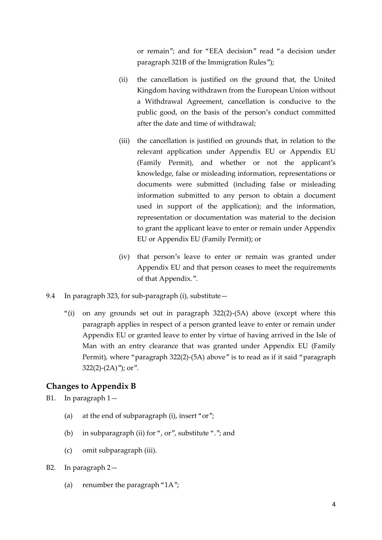or remain"; and for "EEA decision" read "a decision under paragraph 321B of the Immigration Rules");

- (ii) the cancellation is justified on the ground that, the United Kingdom having withdrawn from the European Union without a Withdrawal Agreement, cancellation is conducive to the public good, on the basis of the person's conduct committed after the date and time of withdrawal;
- (iii) the cancellation is justified on grounds that, in relation to the relevant application under Appendix EU or Appendix EU (Family Permit), and whether or not the applicant's knowledge, false or misleading information, representations or documents were submitted (including false or misleading information submitted to any person to obtain a document used in support of the application); and the information, representation or documentation was material to the decision to grant the applicant leave to enter or remain under Appendix EU or Appendix EU (Family Permit); or
- (iv) that person's leave to enter or remain was granted under Appendix EU and that person ceases to meet the requirements of that Appendix.".
- 9.4 In paragraph 323, for sub-paragraph (i), substitute—
	- "(i) on any grounds set out in paragraph  $322(2)$ -(5A) above (except where this paragraph applies in respect of a person granted leave to enter or remain under Appendix EU or granted leave to enter by virtue of having arrived in the Isle of Man with an entry clearance that was granted under Appendix EU (Family Permit), where "paragraph 322(2)-(5A) above" is to read as if it said "paragraph  $322(2)-(2A)$ "); or".

#### **Changes to Appendix B**

B1. In paragraph 1—

- (a) at the end of subparagraph (i), insert "or";
- (b) in subparagraph (ii) for ", or", substitute "."; and
- (c) omit subparagraph (iii).
- B2. In paragraph 2—
	- (a) renumber the paragraph "1A";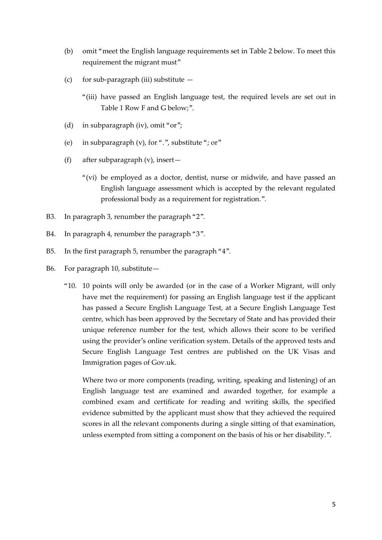- (b) omit "meet the English language requirements set in Table 2 below. To meet this requirement the migrant must"
- (c) for sub-paragraph (iii) substitute  $-$ 
	- "(iii) have passed an English language test, the required levels are set out in Table 1 Row F and G below;".
- (d) in subparagraph (iv), omit "or";
- (e) in subparagraph (v), for ".", substitute "; or"
- (f) after subparagraph (v), insert—
	- "(vi) be employed as a doctor, dentist, nurse or midwife, and have passed an English language assessment which is accepted by the relevant regulated professional body as a requirement for registration.".
- B3. In paragraph 3, renumber the paragraph "2".
- B4. In paragraph 4, renumber the paragraph "3".
- B5. In the first paragraph 5, renumber the paragraph "4".
- B6. For paragraph 10, substitute—
	- "10. 10 points will only be awarded (or in the case of a Worker Migrant, will only have met the requirement) for passing an English language test if the applicant has passed a Secure English Language Test, at a Secure English Language Test centre, which has been approved by the Secretary of State and has provided their unique reference number for the test, which allows their score to be verified using the provider's online verification system. Details of the approved tests and Secure English Language Test centres are published on the UK Visas and Immigration pages of Gov.uk.

Where two or more components (reading, writing, speaking and listening) of an English language test are examined and awarded together, for example a combined exam and certificate for reading and writing skills, the specified evidence submitted by the applicant must show that they achieved the required scores in all the relevant components during a single sitting of that examination, unless exempted from sitting a component on the basis of his or her disability.".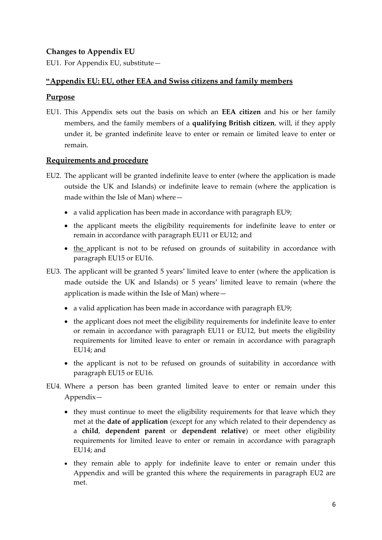### **Changes to Appendix EU**

EU1. For Appendix EU, substitute—

### **"Appendix EU: EU, other EEA and Swiss citizens and family members**

### **Purpose**

EU1. This Appendix sets out the basis on which an **EEA citizen** and his or her family members, and the family members of a **qualifying British citizen**, will, if they apply under it, be granted indefinite leave to enter or remain or limited leave to enter or remain.

### **Requirements and procedure**

- EU2. The applicant will be granted indefinite leave to enter (where the application is made outside the UK and Islands) or indefinite leave to remain (where the application is made within the Isle of Man) where—
	- a valid application has been made in accordance with paragraph EU9;
	- the applicant meets the eligibility requirements for indefinite leave to enter or remain in accordance with paragraph EU11 or EU12; and
	- the applicant is not to be refused on grounds of suitability in accordance with paragraph EU15 or EU16.
- EU3. The applicant will be granted 5 years' limited leave to enter (where the application is made outside the UK and Islands) or 5 years' limited leave to remain (where the application is made within the Isle of Man) where—
	- a valid application has been made in accordance with paragraph EU9;
	- the applicant does not meet the eligibility requirements for indefinite leave to enter or remain in accordance with paragraph EU11 or EU12, but meets the eligibility requirements for limited leave to enter or remain in accordance with paragraph EU14; and
	- the applicant is not to be refused on grounds of suitability in accordance with paragraph EU15 or EU16.
- EU4. Where a person has been granted limited leave to enter or remain under this Appendix—
	- they must continue to meet the eligibility requirements for that leave which they met at the **date of application** (except for any which related to their dependency as a **child**, **dependent parent** or **dependent relative**) or meet other eligibility requirements for limited leave to enter or remain in accordance with paragraph EU14; and
	- they remain able to apply for indefinite leave to enter or remain under this Appendix and will be granted this where the requirements in paragraph EU2 are met.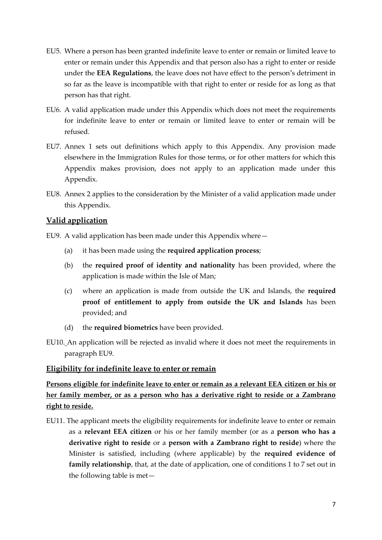- EU5. Where a person has been granted indefinite leave to enter or remain or limited leave to enter or remain under this Appendix and that person also has a right to enter or reside under the **EEA Regulations**, the leave does not have effect to the person's detriment in so far as the leave is incompatible with that right to enter or reside for as long as that person has that right.
- EU6. A valid application made under this Appendix which does not meet the requirements for indefinite leave to enter or remain or limited leave to enter or remain will be refused.
- EU7. Annex 1 sets out definitions which apply to this Appendix. Any provision made elsewhere in the Immigration Rules for those terms, or for other matters for which this Appendix makes provision, does not apply to an application made under this Appendix.
- EU8. Annex 2 applies to the consideration by the Minister of a valid application made under this Appendix.

### **Valid application**

- EU9. A valid application has been made under this Appendix where—
	- (a) it has been made using the **required application process**;
	- (b) the **required proof of identity and nationality** has been provided, where the application is made within the Isle of Man;
	- (c) where an application is made from outside the UK and Islands, the **required proof of entitlement to apply from outside the UK and Islands** has been provided; and
	- (d) the **required biometrics** have been provided.
- EU10. An application will be rejected as invalid where it does not meet the requirements in paragraph EU9.

#### **Eligibility for indefinite leave to enter or remain**

# **Persons eligible for indefinite leave to enter or remain as a relevant EEA citizen or his or her family member, or as a person who has a derivative right to reside or a Zambrano right to reside.**

EU11. The applicant meets the eligibility requirements for indefinite leave to enter or remain as a **relevant EEA citizen** or his or her family member (or as a **person who has a derivative right to reside** or a **person with a Zambrano right to reside**) where the Minister is satisfied, including (where applicable) by the **required evidence of family relationship**, that, at the date of application, one of conditions 1 to 7 set out in the following table is met—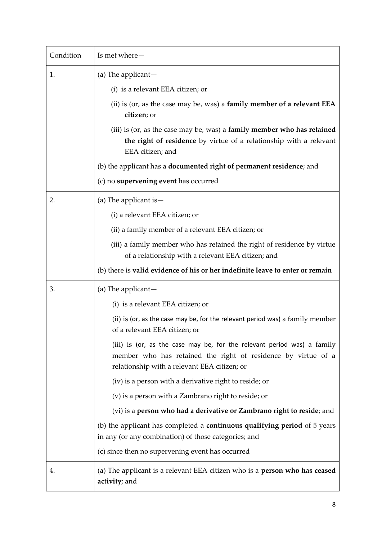| Condition | Is met where-                                                                                                                                                                            |
|-----------|------------------------------------------------------------------------------------------------------------------------------------------------------------------------------------------|
| 1.        | (a) The applicant $-$                                                                                                                                                                    |
|           | (i) is a relevant EEA citizen; or                                                                                                                                                        |
|           | (ii) is (or, as the case may be, was) a <b>family member of a relevant <math>EEA</math></b><br>citizen; or                                                                               |
|           | (iii) is (or, as the case may be, was) a family member who has retained<br>the right of residence by virtue of a relationship with a relevant<br>EEA citizen; and                        |
|           | (b) the applicant has a <b>documented right of permanent residence</b> ; and                                                                                                             |
|           | (c) no supervening event has occurred                                                                                                                                                    |
| 2.        | (a) The applicant is $-$                                                                                                                                                                 |
|           | (i) a relevant EEA citizen; or                                                                                                                                                           |
|           | (ii) a family member of a relevant EEA citizen; or                                                                                                                                       |
|           | (iii) a family member who has retained the right of residence by virtue<br>of a relationship with a relevant EEA citizen; and                                                            |
|           | (b) there is valid evidence of his or her indefinite leave to enter or remain                                                                                                            |
| 3.        | (a) The applicant $-$                                                                                                                                                                    |
|           | (i) is a relevant EEA citizen; or                                                                                                                                                        |
|           | (ii) is (or, as the case may be, for the relevant period was) a family member<br>of a relevant EEA citizen; or                                                                           |
|           | (iii) is (or, as the case may be, for the relevant period was) a family<br>member who has retained the right of residence by virtue of a<br>relationship with a relevant EEA citizen; or |
|           | (iv) is a person with a derivative right to reside; or                                                                                                                                   |
|           | (v) is a person with a Zambrano right to reside; or                                                                                                                                      |
|           | (vi) is a person who had a derivative or Zambrano right to reside; and                                                                                                                   |
|           | (b) the applicant has completed a <b>continuous qualifying period</b> of 5 years<br>in any (or any combination) of those categories; and                                                 |
|           | (c) since then no supervening event has occurred                                                                                                                                         |
| 4.        | (a) The applicant is a relevant EEA citizen who is a <b>person who has ceased</b><br>activity; and                                                                                       |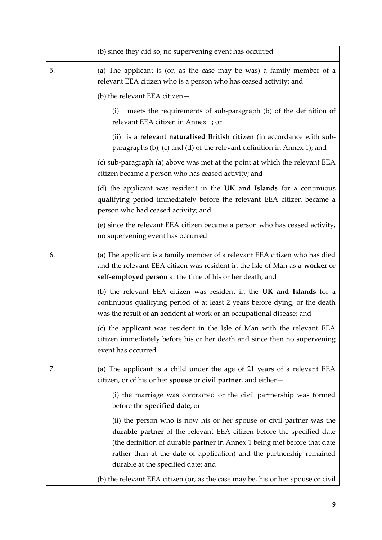|    | (b) since they did so, no supervening event has occurred                                                                                                                                                                                                                                                                                        |
|----|-------------------------------------------------------------------------------------------------------------------------------------------------------------------------------------------------------------------------------------------------------------------------------------------------------------------------------------------------|
| 5. | (a) The applicant is (or, as the case may be was) a family member of a<br>relevant EEA citizen who is a person who has ceased activity; and                                                                                                                                                                                                     |
|    | (b) the relevant EEA citizen-                                                                                                                                                                                                                                                                                                                   |
|    | meets the requirements of sub-paragraph (b) of the definition of<br>(i)<br>relevant EEA citizen in Annex 1; or                                                                                                                                                                                                                                  |
|    | (ii) is a relevant naturalised British citizen (in accordance with sub-<br>paragraphs (b), (c) and (d) of the relevant definition in Annex 1); and                                                                                                                                                                                              |
|    | (c) sub-paragraph (a) above was met at the point at which the relevant EEA<br>citizen became a person who has ceased activity; and                                                                                                                                                                                                              |
|    | (d) the applicant was resident in the UK and Islands for a continuous<br>qualifying period immediately before the relevant EEA citizen became a<br>person who had ceased activity; and                                                                                                                                                          |
|    | (e) since the relevant EEA citizen became a person who has ceased activity,<br>no supervening event has occurred                                                                                                                                                                                                                                |
| 6. | (a) The applicant is a family member of a relevant EEA citizen who has died<br>and the relevant EEA citizen was resident in the Isle of Man as a worker or<br>self-employed person at the time of his or her death; and                                                                                                                         |
|    | (b) the relevant EEA citizen was resident in the UK and Islands for a<br>continuous qualifying period of at least 2 years before dying, or the death<br>was the result of an accident at work or an occupational disease; and                                                                                                                   |
|    | (c) the applicant was resident in the Isle of Man with the relevant EEA<br>citizen immediately before his or her death and since then no supervening<br>event has occurred                                                                                                                                                                      |
| 7. | (a) The applicant is a child under the age of 21 years of a relevant EEA<br>citizen, or of his or her <b>spouse</b> or <b>civil partner</b> , and either-                                                                                                                                                                                       |
|    | (i) the marriage was contracted or the civil partnership was formed<br>before the specified date; or                                                                                                                                                                                                                                            |
|    | (ii) the person who is now his or her spouse or civil partner was the<br><b>durable partner</b> of the relevant EEA citizen before the specified date<br>(the definition of durable partner in Annex 1 being met before that date<br>rather than at the date of application) and the partnership remained<br>durable at the specified date; and |
|    | (b) the relevant EEA citizen (or, as the case may be, his or her spouse or civil                                                                                                                                                                                                                                                                |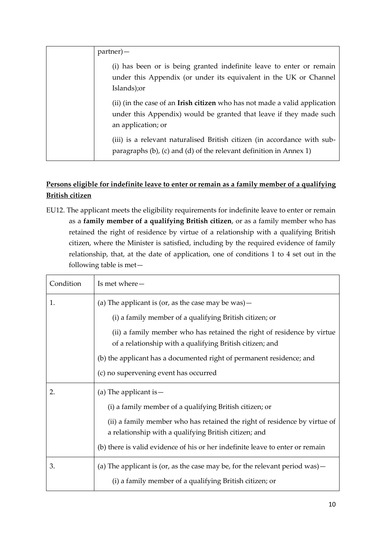| $partner$ ) —                                                                                                                                                                 |
|-------------------------------------------------------------------------------------------------------------------------------------------------------------------------------|
| (i) has been or is being granted indefinite leave to enter or remain<br>under this Appendix (or under its equivalent in the UK or Channel<br>Islands); or                     |
| (ii) (in the case of an <b>Irish citizen</b> who has not made a valid application<br>under this Appendix) would be granted that leave if they made such<br>an application; or |
| (iii) is a relevant naturalised British citizen (in accordance with sub-<br>paragraphs (b), (c) and (d) of the relevant definition in Annex 1)                                |

# **Persons eligible for indefinite leave to enter or remain as a family member of a qualifying British citizen**

EU12. The applicant meets the eligibility requirements for indefinite leave to enter or remain as a **family member of a qualifying British citizen**, or as a family member who has retained the right of residence by virtue of a relationship with a qualifying British citizen, where the Minister is satisfied, including by the required evidence of family relationship, that, at the date of application, one of conditions 1 to 4 set out in the following table is met—

| Condition | Is met where-                                                                                                                      |  |
|-----------|------------------------------------------------------------------------------------------------------------------------------------|--|
| 1.        | (a) The applicant is (or, as the case may be was) $-$                                                                              |  |
|           | (i) a family member of a qualifying British citizen; or                                                                            |  |
|           | (ii) a family member who has retained the right of residence by virtue<br>of a relationship with a qualifying British citizen; and |  |
|           | (b) the applicant has a documented right of permanent residence; and                                                               |  |
|           | (c) no supervening event has occurred                                                                                              |  |
|           | (a) The applicant is $-$                                                                                                           |  |
| 2.        |                                                                                                                                    |  |
|           | (i) a family member of a qualifying British citizen; or                                                                            |  |
|           | (ii) a family member who has retained the right of residence by virtue of<br>a relationship with a qualifying British citizen; and |  |
|           | (b) there is valid evidence of his or her indefinite leave to enter or remain                                                      |  |
| 3.        | (a) The applicant is (or, as the case may be, for the relevant period was) $-$                                                     |  |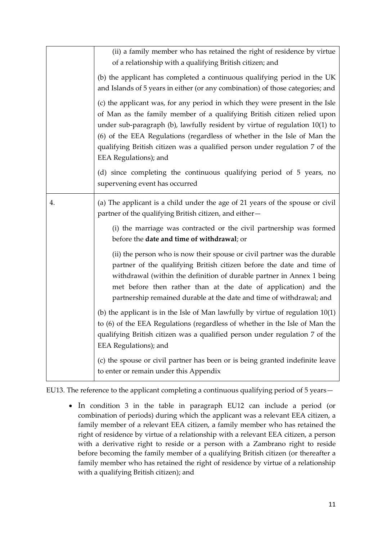|    | (ii) a family member who has retained the right of residence by virtue<br>of a relationship with a qualifying British citizen; and<br>(b) the applicant has completed a continuous qualifying period in the UK<br>and Islands of 5 years in either (or any combination) of those categories; and<br>(c) the applicant was, for any period in which they were present in the Isle<br>of Man as the family member of a qualifying British citizen relied upon<br>under sub-paragraph (b), lawfully resident by virtue of regulation 10(1) to<br>(6) of the EEA Regulations (regardless of whether in the Isle of Man the<br>qualifying British citizen was a qualified person under regulation 7 of the<br>EEA Regulations); and |
|----|--------------------------------------------------------------------------------------------------------------------------------------------------------------------------------------------------------------------------------------------------------------------------------------------------------------------------------------------------------------------------------------------------------------------------------------------------------------------------------------------------------------------------------------------------------------------------------------------------------------------------------------------------------------------------------------------------------------------------------|
|    | (d) since completing the continuous qualifying period of 5 years, no<br>supervening event has occurred                                                                                                                                                                                                                                                                                                                                                                                                                                                                                                                                                                                                                         |
| 4. | (a) The applicant is a child under the age of 21 years of the spouse or civil<br>partner of the qualifying British citizen, and either-                                                                                                                                                                                                                                                                                                                                                                                                                                                                                                                                                                                        |
|    | (i) the marriage was contracted or the civil partnership was formed<br>before the date and time of withdrawal; or                                                                                                                                                                                                                                                                                                                                                                                                                                                                                                                                                                                                              |
|    | (ii) the person who is now their spouse or civil partner was the durable<br>partner of the qualifying British citizen before the date and time of<br>withdrawal (within the definition of durable partner in Annex 1 being<br>met before then rather than at the date of application) and the<br>partnership remained durable at the date and time of withdrawal; and                                                                                                                                                                                                                                                                                                                                                          |
|    | (b) the applicant is in the Isle of Man lawfully by virtue of regulation $10(1)$<br>to (6) of the EEA Regulations (regardless of whether in the Isle of Man the<br>qualifying British citizen was a qualified person under regulation 7 of the<br>EEA Regulations); and                                                                                                                                                                                                                                                                                                                                                                                                                                                        |
|    | (c) the spouse or civil partner has been or is being granted indefinite leave<br>to enter or remain under this Appendix                                                                                                                                                                                                                                                                                                                                                                                                                                                                                                                                                                                                        |

EU13. The reference to the applicant completing a continuous qualifying period of 5 years—

 In condition 3 in the table in paragraph EU12 can include a period (or combination of periods) during which the applicant was a relevant EEA citizen, a family member of a relevant EEA citizen, a family member who has retained the right of residence by virtue of a relationship with a relevant EEA citizen, a person with a derivative right to reside or a person with a Zambrano right to reside before becoming the family member of a qualifying British citizen (or thereafter a family member who has retained the right of residence by virtue of a relationship with a qualifying British citizen); and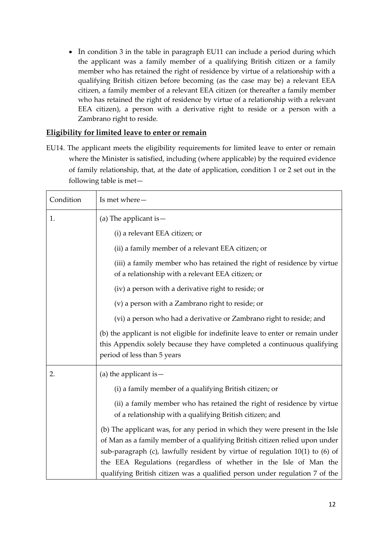• In condition 3 in the table in paragraph EU11 can include a period during which the applicant was a family member of a qualifying British citizen or a family member who has retained the right of residence by virtue of a relationship with a qualifying British citizen before becoming (as the case may be) a relevant EEA citizen, a family member of a relevant EEA citizen (or thereafter a family member who has retained the right of residence by virtue of a relationship with a relevant EEA citizen), a person with a derivative right to reside or a person with a Zambrano right to reside.

#### **Eligibility for limited leave to enter or remain**

EU14. The applicant meets the eligibility requirements for limited leave to enter or remain where the Minister is satisfied, including (where applicable) by the required evidence of family relationship, that, at the date of application, condition 1 or 2 set out in the following table is met—

| Condition | Is met where-                                                                                                                                                                              |  |
|-----------|--------------------------------------------------------------------------------------------------------------------------------------------------------------------------------------------|--|
| 1.        | (a) The applicant is $-$                                                                                                                                                                   |  |
|           | (i) a relevant EEA citizen; or                                                                                                                                                             |  |
|           | (ii) a family member of a relevant EEA citizen; or                                                                                                                                         |  |
|           | (iii) a family member who has retained the right of residence by virtue<br>of a relationship with a relevant EEA citizen; or                                                               |  |
|           | (iv) a person with a derivative right to reside; or                                                                                                                                        |  |
|           | (v) a person with a Zambrano right to reside; or                                                                                                                                           |  |
|           | (vi) a person who had a derivative or Zambrano right to reside; and                                                                                                                        |  |
|           | (b) the applicant is not eligible for indefinite leave to enter or remain under<br>this Appendix solely because they have completed a continuous qualifying<br>period of less than 5 years |  |
| 2.        | (a) the applicant is $-$                                                                                                                                                                   |  |
|           | (i) a family member of a qualifying British citizen; or                                                                                                                                    |  |
|           | (ii) a family member who has retained the right of residence by virtue<br>of a relationship with a qualifying British citizen; and                                                         |  |
|           | (b) The applicant was, for any period in which they were present in the Isle                                                                                                               |  |
|           | of Man as a family member of a qualifying British citizen relied upon under                                                                                                                |  |
|           | sub-paragraph (c), lawfully resident by virtue of regulation 10(1) to (6) of<br>the EEA Regulations (regardless of whether in the Isle of Man the                                          |  |
|           | qualifying British citizen was a qualified person under regulation 7 of the                                                                                                                |  |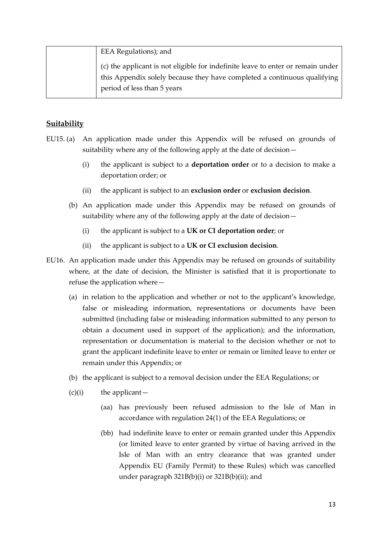| EEA Regulations); and                                                           |
|---------------------------------------------------------------------------------|
| (c) the applicant is not eligible for indefinite leave to enter or remain under |
| this Appendix solely because they have completed a continuous qualifying        |
| period of less than 5 years                                                     |

#### **Suitability**

- EU15. (a) An application made under this Appendix will be refused on grounds of suitability where any of the following apply at the date of decision—
	- (i) the applicant is subject to a **deportation order** or to a decision to make a deportation order; or
	- (ii) the applicant is subject to an **exclusion order** or **exclusion decision**.
	- (b) An application made under this Appendix may be refused on grounds of suitability where any of the following apply at the date of decision—
		- (i) the applicant is subject to a **UK or CI deportation order**; or
		- (ii) the applicant is subject to a **UK or CI exclusion decision**.
- EU16. An application made under this Appendix may be refused on grounds of suitability where, at the date of decision, the Minister is satisfied that it is proportionate to refuse the application where—
	- (a) in relation to the application and whether or not to the applicant's knowledge, false or misleading information, representations or documents have been submitted (including false or misleading information submitted to any person to obtain a document used in support of the application); and the information, representation or documentation is material to the decision whether or not to grant the applicant indefinite leave to enter or remain or limited leave to enter or remain under this Appendix; or
	- (b) the applicant is subject to a removal decision under the EEA Regulations; or
	- $(c)(i)$  the applicant—
		- (aa) has previously been refused admission to the Isle of Man in accordance with regulation 24(1) of the EEA Regulations; or
		- (bb) had indefinite leave to enter or remain granted under this Appendix (or limited leave to enter granted by virtue of having arrived in the Isle of Man with an entry clearance that was granted under Appendix EU (Family Permit) to these Rules) which was cancelled under paragraph 321B(b)(i) or 321B(b)(ii); and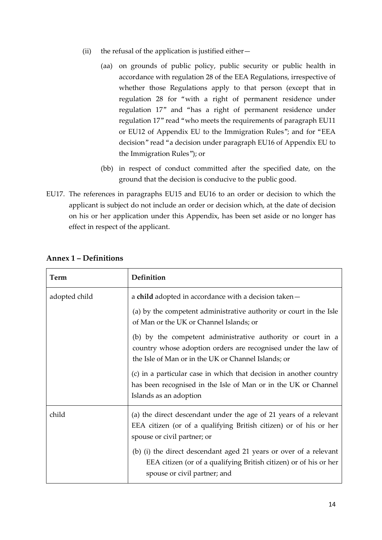- (ii) the refusal of the application is justified either—
	- (aa) on grounds of public policy, public security or public health in accordance with regulation 28 of the EEA Regulations, irrespective of whether those Regulations apply to that person (except that in regulation 28 for "with a right of permanent residence under regulation 17" and "has a right of permanent residence under regulation 17" read "who meets the requirements of paragraph EU11 or EU12 of Appendix EU to the Immigration Rules"; and for "EEA decision" read "a decision under paragraph EU16 of Appendix EU to the Immigration Rules"); or
	- (bb) in respect of conduct committed after the specified date, on the ground that the decision is conducive to the public good.
- EU17. The references in paragraphs EU15 and EU16 to an order or decision to which the applicant is subject do not include an order or decision which, at the date of decision on his or her application under this Appendix, has been set aside or no longer has effect in respect of the applicant.

| Term          | Definition                                                                                                                                                                          |
|---------------|-------------------------------------------------------------------------------------------------------------------------------------------------------------------------------------|
| adopted child | a child adopted in accordance with a decision taken-                                                                                                                                |
|               | (a) by the competent administrative authority or court in the Isle<br>of Man or the UK or Channel Islands; or                                                                       |
|               | (b) by the competent administrative authority or court in a<br>country whose adoption orders are recognised under the law of<br>the Isle of Man or in the UK or Channel Islands; or |
|               | (c) in a particular case in which that decision in another country<br>has been recognised in the Isle of Man or in the UK or Channel<br>Islands as an adoption                      |
| child         | (a) the direct descendant under the age of 21 years of a relevant<br>EEA citizen (or of a qualifying British citizen) or of his or her<br>spouse or civil partner; or               |
|               | (b) (i) the direct descendant aged 21 years or over of a relevant<br>EEA citizen (or of a qualifying British citizen) or of his or her<br>spouse or civil partner; and              |

#### **Annex 1 – Definitions**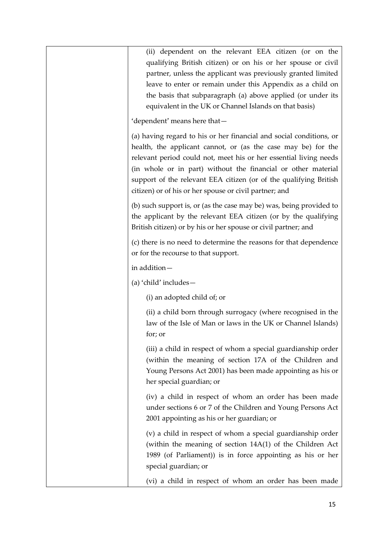| (ii) dependent on the relevant EEA citizen (or on the<br>qualifying British citizen) or on his or her spouse or civil<br>partner, unless the applicant was previously granted limited<br>leave to enter or remain under this Appendix as a child on<br>the basis that subparagraph (a) above applied (or under its<br>equivalent in the UK or Channel Islands on that basis)                              |
|-----------------------------------------------------------------------------------------------------------------------------------------------------------------------------------------------------------------------------------------------------------------------------------------------------------------------------------------------------------------------------------------------------------|
| 'dependent' means here that-                                                                                                                                                                                                                                                                                                                                                                              |
| (a) having regard to his or her financial and social conditions, or<br>health, the applicant cannot, or (as the case may be) for the<br>relevant period could not, meet his or her essential living needs<br>(in whole or in part) without the financial or other material<br>support of the relevant EEA citizen (or of the qualifying British<br>citizen) or of his or her spouse or civil partner; and |
| (b) such support is, or (as the case may be) was, being provided to<br>the applicant by the relevant EEA citizen (or by the qualifying<br>British citizen) or by his or her spouse or civil partner; and                                                                                                                                                                                                  |
| (c) there is no need to determine the reasons for that dependence<br>or for the recourse to that support.                                                                                                                                                                                                                                                                                                 |
| in addition-                                                                                                                                                                                                                                                                                                                                                                                              |
| (a) 'child' includes-                                                                                                                                                                                                                                                                                                                                                                                     |
| (i) an adopted child of; or                                                                                                                                                                                                                                                                                                                                                                               |
| (ii) a child born through surrogacy (where recognised in the<br>law of the Isle of Man or laws in the UK or Channel Islands)<br>for; or                                                                                                                                                                                                                                                                   |
| (iii) a child in respect of whom a special guardianship order<br>(within the meaning of section 17A of the Children and<br>Young Persons Act 2001) has been made appointing as his or<br>her special guardian; or                                                                                                                                                                                         |
| (iv) a child in respect of whom an order has been made<br>under sections 6 or 7 of the Children and Young Persons Act<br>2001 appointing as his or her guardian; or                                                                                                                                                                                                                                       |
| (v) a child in respect of whom a special guardianship order<br>(within the meaning of section 14A(1) of the Children Act<br>1989 (of Parliament)) is in force appointing as his or her<br>special guardian; or                                                                                                                                                                                            |
| (vi) a child in respect of whom an order has been made                                                                                                                                                                                                                                                                                                                                                    |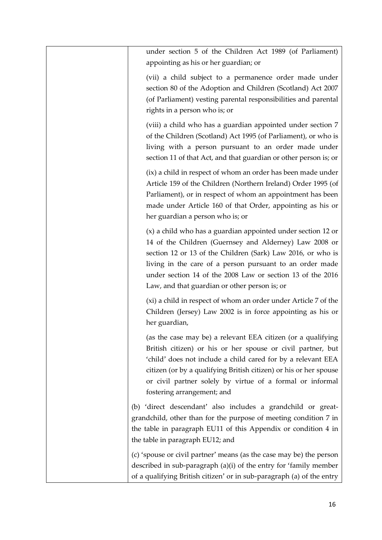| under section 5 of the Children Act 1989 (of Parliament)<br>appointing as his or her guardian; or                                                                                                                                                                                                                                                                |
|------------------------------------------------------------------------------------------------------------------------------------------------------------------------------------------------------------------------------------------------------------------------------------------------------------------------------------------------------------------|
| (vii) a child subject to a permanence order made under<br>section 80 of the Adoption and Children (Scotland) Act 2007<br>(of Parliament) vesting parental responsibilities and parental<br>rights in a person who is; or                                                                                                                                         |
| (viii) a child who has a guardian appointed under section 7<br>of the Children (Scotland) Act 1995 (of Parliament), or who is<br>living with a person pursuant to an order made under<br>section 11 of that Act, and that guardian or other person is; or                                                                                                        |
| (ix) a child in respect of whom an order has been made under<br>Article 159 of the Children (Northern Ireland) Order 1995 (of<br>Parliament), or in respect of whom an appointment has been<br>made under Article 160 of that Order, appointing as his or<br>her guardian a person who is; or                                                                    |
| (x) a child who has a guardian appointed under section 12 or<br>14 of the Children (Guernsey and Alderney) Law 2008 or<br>section 12 or 13 of the Children (Sark) Law 2016, or who is<br>living in the care of a person pursuant to an order made<br>under section 14 of the 2008 Law or section 13 of the 2016<br>Law, and that guardian or other person is; or |
| (xi) a child in respect of whom an order under Article 7 of the<br>Children (Jersey) Law 2002 is in force appointing as his or<br>her guardian,                                                                                                                                                                                                                  |
| (as the case may be) a relevant EEA citizen (or a qualifying<br>British citizen) or his or her spouse or civil partner, but<br>'child' does not include a child cared for by a relevant EEA<br>citizen (or by a qualifying British citizen) or his or her spouse<br>or civil partner solely by virtue of a formal or informal<br>fostering arrangement; and      |
| (b) 'direct descendant' also includes a grandchild or great-<br>grandchild, other than for the purpose of meeting condition 7 in<br>the table in paragraph EU11 of this Appendix or condition 4 in<br>the table in paragraph EU12; and                                                                                                                           |
| (c) 'spouse or civil partner' means (as the case may be) the person<br>described in sub-paragraph (a)(i) of the entry for 'family member<br>of a qualifying British citizen' or in sub-paragraph (a) of the entry                                                                                                                                                |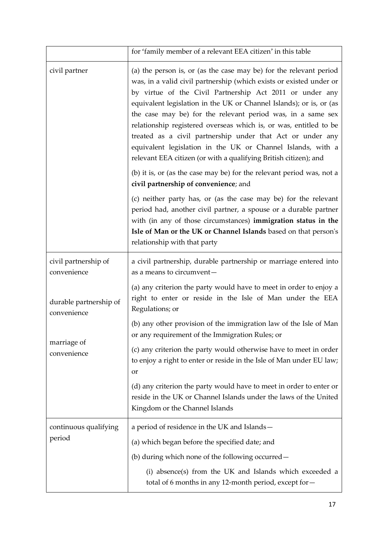|                                       | for 'family member of a relevant EEA citizen' in this table                                                                                                                                                                                                                                                                                                                                                                                                                                                                                                                                                       |
|---------------------------------------|-------------------------------------------------------------------------------------------------------------------------------------------------------------------------------------------------------------------------------------------------------------------------------------------------------------------------------------------------------------------------------------------------------------------------------------------------------------------------------------------------------------------------------------------------------------------------------------------------------------------|
| civil partner                         | (a) the person is, or (as the case may be) for the relevant period<br>was, in a valid civil partnership (which exists or existed under or<br>by virtue of the Civil Partnership Act 2011 or under any<br>equivalent legislation in the UK or Channel Islands); or is, or (as<br>the case may be) for the relevant period was, in a same sex<br>relationship registered overseas which is, or was, entitled to be<br>treated as a civil partnership under that Act or under any<br>equivalent legislation in the UK or Channel Islands, with a<br>relevant EEA citizen (or with a qualifying British citizen); and |
|                                       | (b) it is, or (as the case may be) for the relevant period was, not a<br>civil partnership of convenience; and                                                                                                                                                                                                                                                                                                                                                                                                                                                                                                    |
|                                       | (c) neither party has, or (as the case may be) for the relevant<br>period had, another civil partner, a spouse or a durable partner<br>with (in any of those circumstances) immigration status in the<br>Isle of Man or the UK or Channel Islands based on that person's<br>relationship with that party                                                                                                                                                                                                                                                                                                          |
| civil partnership of<br>convenience   | a civil partnership, durable partnership or marriage entered into<br>as a means to circumvent-                                                                                                                                                                                                                                                                                                                                                                                                                                                                                                                    |
| durable partnership of<br>convenience | (a) any criterion the party would have to meet in order to enjoy a<br>right to enter or reside in the Isle of Man under the EEA<br>Regulations; or                                                                                                                                                                                                                                                                                                                                                                                                                                                                |
|                                       | (b) any other provision of the immigration law of the Isle of Man<br>or any requirement of the Immigration Rules; or                                                                                                                                                                                                                                                                                                                                                                                                                                                                                              |
| marriage of<br>convenience            | (c) any criterion the party would otherwise have to meet in order<br>to enjoy a right to enter or reside in the Isle of Man under EU law;<br>or                                                                                                                                                                                                                                                                                                                                                                                                                                                                   |
|                                       | (d) any criterion the party would have to meet in order to enter or<br>reside in the UK or Channel Islands under the laws of the United<br>Kingdom or the Channel Islands                                                                                                                                                                                                                                                                                                                                                                                                                                         |
| continuous qualifying                 | a period of residence in the UK and Islands-                                                                                                                                                                                                                                                                                                                                                                                                                                                                                                                                                                      |
| period                                | (a) which began before the specified date; and                                                                                                                                                                                                                                                                                                                                                                                                                                                                                                                                                                    |
|                                       | (b) during which none of the following occurred –                                                                                                                                                                                                                                                                                                                                                                                                                                                                                                                                                                 |
|                                       | (i) absence(s) from the UK and Islands which exceeded a<br>total of 6 months in any 12-month period, except for-                                                                                                                                                                                                                                                                                                                                                                                                                                                                                                  |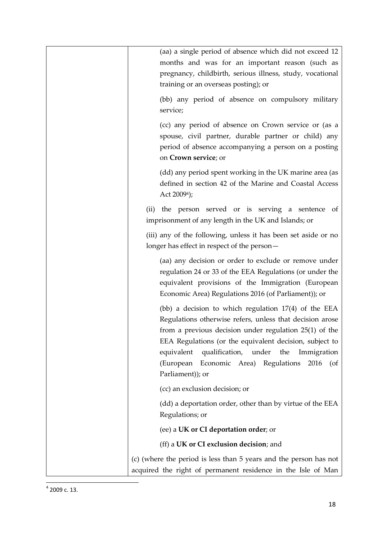| (aa) a single period of absence which did not exceed 12                                                                                                                                                                                                                                                                                                                 |
|-------------------------------------------------------------------------------------------------------------------------------------------------------------------------------------------------------------------------------------------------------------------------------------------------------------------------------------------------------------------------|
| months and was for an important reason (such as                                                                                                                                                                                                                                                                                                                         |
| pregnancy, childbirth, serious illness, study, vocational                                                                                                                                                                                                                                                                                                               |
| training or an overseas posting); or                                                                                                                                                                                                                                                                                                                                    |
| (bb) any period of absence on compulsory military<br>service;                                                                                                                                                                                                                                                                                                           |
| (cc) any period of absence on Crown service or (as a<br>spouse, civil partner, durable partner or child) any<br>period of absence accompanying a person on a posting<br>on Crown service; or                                                                                                                                                                            |
| (dd) any period spent working in the UK marine area (as<br>defined in section 42 of the Marine and Coastal Access<br>Act 2009 <sup>4</sup> );                                                                                                                                                                                                                           |
| (ii) the person served or is serving a sentence<br>of<br>imprisonment of any length in the UK and Islands; or                                                                                                                                                                                                                                                           |
| (iii) any of the following, unless it has been set aside or no                                                                                                                                                                                                                                                                                                          |
| longer has effect in respect of the person-                                                                                                                                                                                                                                                                                                                             |
| (aa) any decision or order to exclude or remove under<br>regulation 24 or 33 of the EEA Regulations (or under the<br>equivalent provisions of the Immigration (European<br>Economic Area) Regulations 2016 (of Parliament)); or                                                                                                                                         |
| (bb) a decision to which regulation $17(4)$ of the EEA<br>Regulations otherwise refers, unless that decision arose<br>from a previous decision under regulation $25(1)$ of the<br>EEA Regulations (or the equivalent decision, subject to<br>equivalent qualification, under<br>the<br>Immigration<br>(European Economic Area) Regulations 2016 (of<br>Parliament)); or |
| (cc) an exclusion decision; or                                                                                                                                                                                                                                                                                                                                          |
| (dd) a deportation order, other than by virtue of the EEA<br>Regulations; or                                                                                                                                                                                                                                                                                            |
| (ee) a UK or CI deportation order; or                                                                                                                                                                                                                                                                                                                                   |
| (ff) a UK or CI exclusion decision; and                                                                                                                                                                                                                                                                                                                                 |
| (c) (where the period is less than 5 years and the person has not                                                                                                                                                                                                                                                                                                       |
| acquired the right of permanent residence in the Isle of Man                                                                                                                                                                                                                                                                                                            |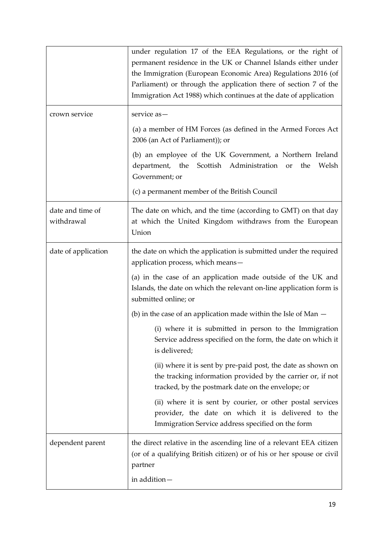|                                | under regulation 17 of the EEA Regulations, or the right of<br>permanent residence in the UK or Channel Islands either under<br>the Immigration (European Economic Area) Regulations 2016 (of<br>Parliament) or through the application there of section 7 of the<br>Immigration Act 1988) which continues at the date of application |
|--------------------------------|---------------------------------------------------------------------------------------------------------------------------------------------------------------------------------------------------------------------------------------------------------------------------------------------------------------------------------------|
| crown service                  | service as-                                                                                                                                                                                                                                                                                                                           |
|                                | (a) a member of HM Forces (as defined in the Armed Forces Act<br>2006 (an Act of Parliament)); or                                                                                                                                                                                                                                     |
|                                | (b) an employee of the UK Government, a Northern Ireland<br>department, the Scottish Administration<br>the<br>Welsh<br><sub>or</sub><br>Government; or                                                                                                                                                                                |
|                                | (c) a permanent member of the British Council                                                                                                                                                                                                                                                                                         |
| date and time of<br>withdrawal | The date on which, and the time (according to GMT) on that day<br>at which the United Kingdom withdraws from the European<br>Union                                                                                                                                                                                                    |
| date of application            | the date on which the application is submitted under the required<br>application process, which means-                                                                                                                                                                                                                                |
|                                | (a) in the case of an application made outside of the UK and<br>Islands, the date on which the relevant on-line application form is<br>submitted online; or                                                                                                                                                                           |
|                                | (b) in the case of an application made within the Isle of Man $-$                                                                                                                                                                                                                                                                     |
|                                | (i) where it is submitted in person to the Immigration<br>Service address specified on the form, the date on which it<br>is delivered;                                                                                                                                                                                                |
|                                | (ii) where it is sent by pre-paid post, the date as shown on<br>the tracking information provided by the carrier or, if not<br>tracked, by the postmark date on the envelope; or                                                                                                                                                      |
|                                | (ii) where it is sent by courier, or other postal services<br>provider, the date on which it is delivered to the<br>Immigration Service address specified on the form                                                                                                                                                                 |
| dependent parent               | the direct relative in the ascending line of a relevant EEA citizen<br>(or of a qualifying British citizen) or of his or her spouse or civil<br>partner                                                                                                                                                                               |
|                                | in addition-                                                                                                                                                                                                                                                                                                                          |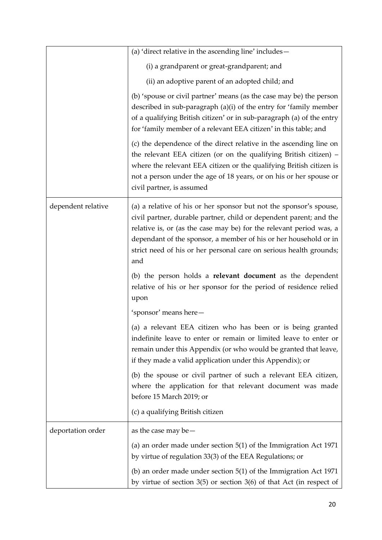|                    | (a) 'direct relative in the ascending line' includes-                                                                                                                                                                                                                                                                                                            |
|--------------------|------------------------------------------------------------------------------------------------------------------------------------------------------------------------------------------------------------------------------------------------------------------------------------------------------------------------------------------------------------------|
|                    | (i) a grandparent or great-grandparent; and                                                                                                                                                                                                                                                                                                                      |
|                    | (ii) an adoptive parent of an adopted child; and                                                                                                                                                                                                                                                                                                                 |
|                    | (b) 'spouse or civil partner' means (as the case may be) the person<br>described in sub-paragraph (a)(i) of the entry for 'family member<br>of a qualifying British citizen' or in sub-paragraph (a) of the entry<br>for 'family member of a relevant EEA citizen' in this table; and                                                                            |
|                    | (c) the dependence of the direct relative in the ascending line on<br>the relevant EEA citizen (or on the qualifying British citizen) -<br>where the relevant EEA citizen or the qualifying British citizen is<br>not a person under the age of 18 years, or on his or her spouse or<br>civil partner, is assumed                                                |
| dependent relative | (a) a relative of his or her sponsor but not the sponsor's spouse,<br>civil partner, durable partner, child or dependent parent; and the<br>relative is, or (as the case may be) for the relevant period was, a<br>dependant of the sponsor, a member of his or her household or in<br>strict need of his or her personal care on serious health grounds;<br>and |
|                    | (b) the person holds a <b>relevant document</b> as the dependent<br>relative of his or her sponsor for the period of residence relied<br>upon                                                                                                                                                                                                                    |
|                    | 'sponsor' means here-                                                                                                                                                                                                                                                                                                                                            |
|                    | (a) a relevant EEA citizen who has been or is being granted<br>indefinite leave to enter or remain or limited leave to enter or<br>remain under this Appendix (or who would be granted that leave,<br>if they made a valid application under this Appendix); or                                                                                                  |
|                    | (b) the spouse or civil partner of such a relevant EEA citizen,<br>where the application for that relevant document was made<br>before 15 March 2019; or                                                                                                                                                                                                         |
|                    | (c) a qualifying British citizen                                                                                                                                                                                                                                                                                                                                 |
| deportation order  | as the case may be $-$                                                                                                                                                                                                                                                                                                                                           |
|                    | (a) an order made under section $5(1)$ of the Immigration Act 1971<br>by virtue of regulation 33(3) of the EEA Regulations; or                                                                                                                                                                                                                                   |
|                    | (b) an order made under section $5(1)$ of the Immigration Act 1971<br>by virtue of section $3(5)$ or section $3(6)$ of that Act (in respect of                                                                                                                                                                                                                   |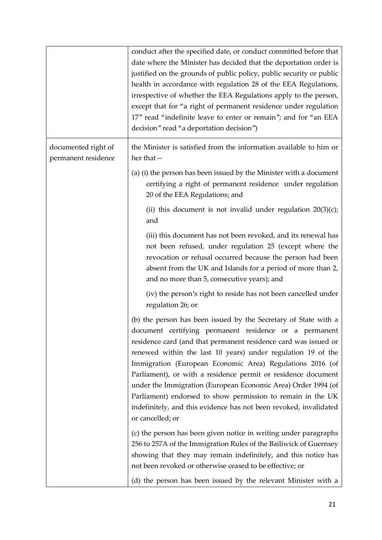|                                            | conduct after the specified date, or conduct committed before that<br>date where the Minister has decided that the deportation order is<br>justified on the grounds of public policy, public security or public<br>health in accordance with regulation 28 of the EEA Regulations,<br>irrespective of whether the EEA Regulations apply to the person,<br>except that for "a right of permanent residence under regulation<br>17" read "indefinite leave to enter or remain"; and for "an EEA<br>decision" read "a deportation decision")                                                                           |
|--------------------------------------------|---------------------------------------------------------------------------------------------------------------------------------------------------------------------------------------------------------------------------------------------------------------------------------------------------------------------------------------------------------------------------------------------------------------------------------------------------------------------------------------------------------------------------------------------------------------------------------------------------------------------|
| documented right of<br>permanent residence | the Minister is satisfied from the information available to him or<br>her that-                                                                                                                                                                                                                                                                                                                                                                                                                                                                                                                                     |
|                                            | (a) (i) the person has been issued by the Minister with a document<br>certifying a right of permanent residence under regulation<br>20 of the EEA Regulations; and                                                                                                                                                                                                                                                                                                                                                                                                                                                  |
|                                            | (ii) this document is not invalid under regulation $20(3)(c)$ ;<br>and                                                                                                                                                                                                                                                                                                                                                                                                                                                                                                                                              |
|                                            | (iii) this document has not been revoked, and its renewal has<br>not been refused, under regulation 25 (except where the<br>revocation or refusal occurred because the person had been<br>absent from the UK and Islands for a period of more than 2,<br>and no more than 5, consecutive years); and                                                                                                                                                                                                                                                                                                                |
|                                            | (iv) the person's right to reside has not been cancelled under<br>regulation 26; or                                                                                                                                                                                                                                                                                                                                                                                                                                                                                                                                 |
|                                            | (b) the person has been issued by the Secretary of State with a<br>document certifying permanent residence or a permanent<br>residence card (and that permanent residence card was issued or<br>renewed within the last 10 years) under regulation 19 of the<br>Immigration (European Economic Area) Regulations 2016 (of<br>Parliament), or with a residence permit or residence document<br>under the Immigration (European Economic Area) Order 1994 (of<br>Parliament) endorsed to show permission to remain in the UK<br>indefinitely, and this evidence has not been revoked, invalidated<br>or cancelled; or |
|                                            | (c) the person has been given notice in writing under paragraphs<br>256 to 257A of the Immigration Rules of the Bailiwick of Guernsey<br>showing that they may remain indefinitely, and this notice has<br>not been revoked or otherwise ceased to be effective; or                                                                                                                                                                                                                                                                                                                                                 |
|                                            | (d) the person has been issued by the relevant Minister with a                                                                                                                                                                                                                                                                                                                                                                                                                                                                                                                                                      |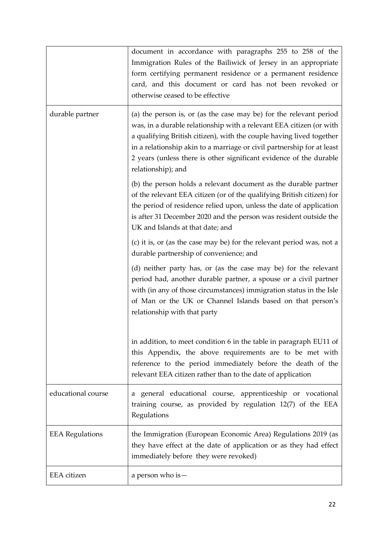|                        | document in accordance with paragraphs 255 to 258 of the<br>Immigration Rules of the Bailiwick of Jersey in an appropriate<br>form certifying permanent residence or a permanent residence<br>card, and this document or card has not been revoked or<br>otherwise ceased to be effective                                                                                               |
|------------------------|-----------------------------------------------------------------------------------------------------------------------------------------------------------------------------------------------------------------------------------------------------------------------------------------------------------------------------------------------------------------------------------------|
| durable partner        | (a) the person is, or (as the case may be) for the relevant period<br>was, in a durable relationship with a relevant EEA citizen (or with<br>a qualifying British citizen), with the couple having lived together<br>in a relationship akin to a marriage or civil partnership for at least<br>2 years (unless there is other significant evidence of the durable<br>relationship); and |
|                        | (b) the person holds a relevant document as the durable partner<br>of the relevant EEA citizen (or of the qualifying British citizen) for<br>the period of residence relied upon, unless the date of application<br>is after 31 December 2020 and the person was resident outside the<br>UK and Islands at that date; and                                                               |
|                        | (c) it is, or (as the case may be) for the relevant period was, not a<br>durable partnership of convenience; and                                                                                                                                                                                                                                                                        |
|                        | (d) neither party has, or (as the case may be) for the relevant<br>period had, another durable partner, a spouse or a civil partner<br>with (in any of those circumstances) immigration status in the Isle<br>of Man or the UK or Channel Islands based on that person's<br>relationship with that party                                                                                |
|                        | in addition, to meet condition 6 in the table in paragraph EU11 of<br>this Appendix, the above requirements are to be met with<br>reference to the period immediately before the death of the<br>relevant EEA citizen rather than to the date of application                                                                                                                            |
| educational course     | a general educational course, apprenticeship or vocational<br>training course, as provided by regulation 12(7) of the EEA<br>Regulations                                                                                                                                                                                                                                                |
| <b>EEA Regulations</b> | the Immigration (European Economic Area) Regulations 2019 (as<br>they have effect at the date of application or as they had effect<br>immediately before they were revoked)                                                                                                                                                                                                             |
| EEA citizen            | a person who is -                                                                                                                                                                                                                                                                                                                                                                       |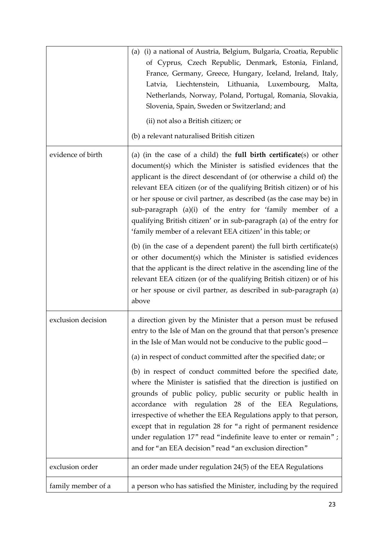|                    | (i) a national of Austria, Belgium, Bulgaria, Croatia, Republic<br>(a)<br>of Cyprus, Czech Republic, Denmark, Estonia, Finland,<br>France, Germany, Greece, Hungary, Iceland, Ireland, Italy,<br>Liechtenstein, Lithuania, Luxembourg,<br>Latvia,<br>Malta,<br>Netherlands, Norway, Poland, Portugal, Romania, Slovakia,<br>Slovenia, Spain, Sweden or Switzerland; and<br>(ii) not also a British citizen; or<br>(b) a relevant naturalised British citizen                                                                                                                                                                                                                                                                                                                                                                                                                                                                                          |
|--------------------|-------------------------------------------------------------------------------------------------------------------------------------------------------------------------------------------------------------------------------------------------------------------------------------------------------------------------------------------------------------------------------------------------------------------------------------------------------------------------------------------------------------------------------------------------------------------------------------------------------------------------------------------------------------------------------------------------------------------------------------------------------------------------------------------------------------------------------------------------------------------------------------------------------------------------------------------------------|
| evidence of birth  | (a) (in the case of a child) the <b>full birth certificate</b> (s) or other<br>document(s) which the Minister is satisfied evidences that the<br>applicant is the direct descendant of (or otherwise a child of) the<br>relevant EEA citizen (or of the qualifying British citizen) or of his<br>or her spouse or civil partner, as described (as the case may be) in<br>sub-paragraph (a)(i) of the entry for 'family member of a<br>qualifying British citizen' or in sub-paragraph (a) of the entry for<br>'family member of a relevant EEA citizen' in this table; or<br>(b) (in the case of a dependent parent) the full birth certificate(s)<br>or other document(s) which the Minister is satisfied evidences<br>that the applicant is the direct relative in the ascending line of the<br>relevant EEA citizen (or of the qualifying British citizen) or of his<br>or her spouse or civil partner, as described in sub-paragraph (a)<br>above |
| exclusion decision | a direction given by the Minister that a person must be refused<br>entry to the Isle of Man on the ground that that person's presence<br>in the Isle of Man would not be conducive to the public good-<br>(a) in respect of conduct committed after the specified date; or<br>(b) in respect of conduct committed before the specified date,<br>where the Minister is satisfied that the direction is justified on<br>grounds of public policy, public security or public health in<br>accordance with regulation 28 of the EEA Regulations,<br>irrespective of whether the EEA Regulations apply to that person,<br>except that in regulation 28 for "a right of permanent residence<br>under regulation 17" read "indefinite leave to enter or remain";<br>and for "an EEA decision" read "an exclusion direction"                                                                                                                                  |
| exclusion order    | an order made under regulation 24(5) of the EEA Regulations                                                                                                                                                                                                                                                                                                                                                                                                                                                                                                                                                                                                                                                                                                                                                                                                                                                                                           |
| family member of a | a person who has satisfied the Minister, including by the required                                                                                                                                                                                                                                                                                                                                                                                                                                                                                                                                                                                                                                                                                                                                                                                                                                                                                    |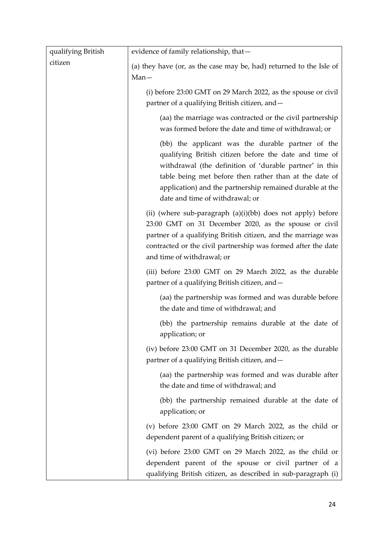| qualifying British | evidence of family relationship, that-                                                                                                                                                                                                                                                                                          |
|--------------------|---------------------------------------------------------------------------------------------------------------------------------------------------------------------------------------------------------------------------------------------------------------------------------------------------------------------------------|
| citizen            | (a) they have (or, as the case may be, had) returned to the Isle of<br>$Man-$                                                                                                                                                                                                                                                   |
|                    | (i) before 23:00 GMT on 29 March 2022, as the spouse or civil<br>partner of a qualifying British citizen, and -                                                                                                                                                                                                                 |
|                    | (aa) the marriage was contracted or the civil partnership<br>was formed before the date and time of withdrawal; or                                                                                                                                                                                                              |
|                    | (bb) the applicant was the durable partner of the<br>qualifying British citizen before the date and time of<br>withdrawal (the definition of 'durable partner' in this<br>table being met before then rather than at the date of<br>application) and the partnership remained durable at the<br>date and time of withdrawal; or |
|                    | (ii) (where sub-paragraph (a)(i)(bb) does not apply) before<br>23:00 GMT on 31 December 2020, as the spouse or civil<br>partner of a qualifying British citizen, and the marriage was<br>contracted or the civil partnership was formed after the date<br>and time of withdrawal; or                                            |
|                    | (iii) before 23:00 GMT on 29 March 2022, as the durable<br>partner of a qualifying British citizen, and -                                                                                                                                                                                                                       |
|                    | (aa) the partnership was formed and was durable before<br>the date and time of withdrawal; and                                                                                                                                                                                                                                  |
|                    | (bb) the partnership remains durable at the date of<br>application; or                                                                                                                                                                                                                                                          |
|                    | (iv) before 23:00 GMT on 31 December 2020, as the durable<br>partner of a qualifying British citizen, and -                                                                                                                                                                                                                     |
|                    | (aa) the partnership was formed and was durable after<br>the date and time of withdrawal; and                                                                                                                                                                                                                                   |
|                    | (bb) the partnership remained durable at the date of<br>application; or                                                                                                                                                                                                                                                         |
|                    | (v) before $23:00$ GMT on 29 March 2022, as the child or<br>dependent parent of a qualifying British citizen; or                                                                                                                                                                                                                |
|                    | (vi) before 23:00 GMT on 29 March 2022, as the child or<br>dependent parent of the spouse or civil partner of a<br>qualifying British citizen, as described in sub-paragraph (i)                                                                                                                                                |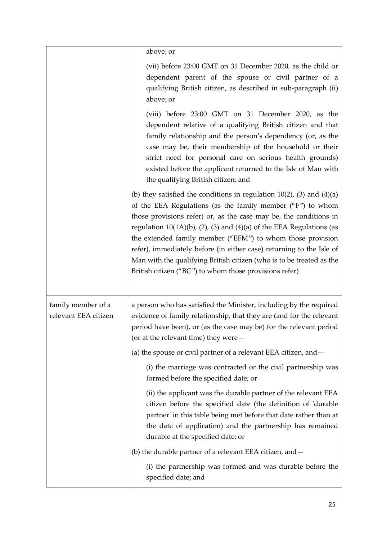|                                            | above; or                                                                                                                                                                                                                                                                                                                                                                                                                                                                                                                                                        |
|--------------------------------------------|------------------------------------------------------------------------------------------------------------------------------------------------------------------------------------------------------------------------------------------------------------------------------------------------------------------------------------------------------------------------------------------------------------------------------------------------------------------------------------------------------------------------------------------------------------------|
|                                            | (vii) before 23:00 GMT on 31 December 2020, as the child or<br>dependent parent of the spouse or civil partner of a<br>qualifying British citizen, as described in sub-paragraph (ii)<br>above; or                                                                                                                                                                                                                                                                                                                                                               |
|                                            | (viii) before 23:00 GMT on 31 December 2020, as the<br>dependent relative of a qualifying British citizen and that<br>family relationship and the person's dependency (or, as the<br>case may be, their membership of the household or their<br>strict need for personal care on serious health grounds)<br>existed before the applicant returned to the Isle of Man with<br>the qualifying British citizen; and                                                                                                                                                 |
|                                            | (b) they satisfied the conditions in regulation $10(2)$ , (3) and $(4)(a)$<br>of the EEA Regulations (as the family member ("F") to whom<br>those provisions refer) or, as the case may be, the conditions in<br>regulation $10(1A)(b)$ , (2), (3) and (4)(a) of the EEA Regulations (as<br>the extended family member ("EFM") to whom those provision<br>refer), immediately before (in either case) returning to the Isle of<br>Man with the qualifying British citizen (who is to be treated as the<br>British citizen ("BC") to whom those provisions refer) |
| family member of a<br>relevant EEA citizen | a person who has satisfied the Minister, including by the required<br>evidence of family relationship, that they are (and for the relevant<br>period have been), or (as the case may be) for the relevant period<br>(or at the relevant time) they were-                                                                                                                                                                                                                                                                                                         |
|                                            | (a) the spouse or civil partner of a relevant EEA citizen, and $-$                                                                                                                                                                                                                                                                                                                                                                                                                                                                                               |
|                                            | (i) the marriage was contracted or the civil partnership was<br>formed before the specified date; or                                                                                                                                                                                                                                                                                                                                                                                                                                                             |
|                                            | (ii) the applicant was the durable partner of the relevant EEA<br>citizen before the specified date (the definition of 'durable<br>partner' in this table being met before that date rather than at<br>the date of application) and the partnership has remained<br>durable at the specified date; or                                                                                                                                                                                                                                                            |
|                                            | (b) the durable partner of a relevant EEA citizen, and -                                                                                                                                                                                                                                                                                                                                                                                                                                                                                                         |
|                                            | (i) the partnership was formed and was durable before the                                                                                                                                                                                                                                                                                                                                                                                                                                                                                                        |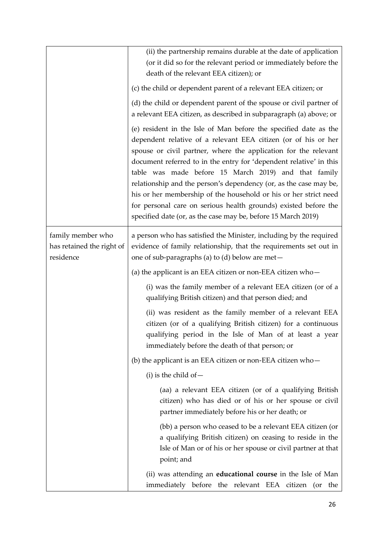|                                                             | (ii) the partnership remains durable at the date of application<br>(or it did so for the relevant period or immediately before the<br>death of the relevant EEA citizen); or                                                                                                                                                                                                                                                                                                                                                                                                                                     |
|-------------------------------------------------------------|------------------------------------------------------------------------------------------------------------------------------------------------------------------------------------------------------------------------------------------------------------------------------------------------------------------------------------------------------------------------------------------------------------------------------------------------------------------------------------------------------------------------------------------------------------------------------------------------------------------|
|                                                             | (c) the child or dependent parent of a relevant EEA citizen; or                                                                                                                                                                                                                                                                                                                                                                                                                                                                                                                                                  |
|                                                             | (d) the child or dependent parent of the spouse or civil partner of<br>a relevant EEA citizen, as described in subparagraph (a) above; or                                                                                                                                                                                                                                                                                                                                                                                                                                                                        |
|                                                             | (e) resident in the Isle of Man before the specified date as the<br>dependent relative of a relevant EEA citizen (or of his or her<br>spouse or civil partner, where the application for the relevant<br>document referred to in the entry for 'dependent relative' in this<br>table was made before 15 March 2019) and that family<br>relationship and the person's dependency (or, as the case may be,<br>his or her membership of the household or his or her strict need<br>for personal care on serious health grounds) existed before the<br>specified date (or, as the case may be, before 15 March 2019) |
| family member who<br>has retained the right of<br>residence | a person who has satisfied the Minister, including by the required<br>evidence of family relationship, that the requirements set out in<br>one of sub-paragraphs (a) to (d) below are met-                                                                                                                                                                                                                                                                                                                                                                                                                       |
|                                                             | (a) the applicant is an EEA citizen or non-EEA citizen $who-$                                                                                                                                                                                                                                                                                                                                                                                                                                                                                                                                                    |
|                                                             | (i) was the family member of a relevant EEA citizen (or of a<br>qualifying British citizen) and that person died; and                                                                                                                                                                                                                                                                                                                                                                                                                                                                                            |
|                                                             | (ii) was resident as the family member of a relevant EEA<br>citizen (or of a qualifying British citizen) for a continuous<br>qualifying period in the Isle of Man of at least a year<br>immediately before the death of that person; or                                                                                                                                                                                                                                                                                                                                                                          |
|                                                             | (b) the applicant is an EEA citizen or non-EEA citizen $who-$                                                                                                                                                                                                                                                                                                                                                                                                                                                                                                                                                    |
|                                                             | $(i)$ is the child of $-$                                                                                                                                                                                                                                                                                                                                                                                                                                                                                                                                                                                        |
|                                                             | (aa) a relevant EEA citizen (or of a qualifying British<br>citizen) who has died or of his or her spouse or civil<br>partner immediately before his or her death; or                                                                                                                                                                                                                                                                                                                                                                                                                                             |
|                                                             | (bb) a person who ceased to be a relevant EEA citizen (or<br>a qualifying British citizen) on ceasing to reside in the<br>Isle of Man or of his or her spouse or civil partner at that<br>point; and                                                                                                                                                                                                                                                                                                                                                                                                             |
|                                                             | (ii) was attending an <b>educational course</b> in the Isle of Man<br>immediately before the relevant EEA citizen (or the                                                                                                                                                                                                                                                                                                                                                                                                                                                                                        |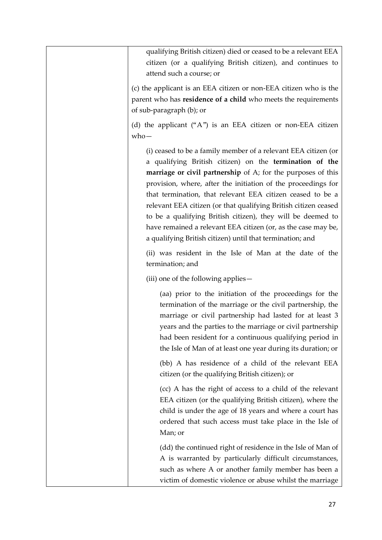qualifying British citizen) died or ceased to be a relevant EEA citizen (or a qualifying British citizen), and continues to attend such a course; or (c) the applicant is an EEA citizen or non-EEA citizen who is the parent who has **residence of a child** who meets the requirements of sub-paragraph (b); or (d) the applicant ("A") is an EEA citizen or non-EEA citizen who— (i) ceased to be a family member of a relevant EEA citizen (or a qualifying British citizen) on the **termination of the marriage or civil partnership** of A; for the purposes of this provision, where, after the initiation of the proceedings for that termination, that relevant EEA citizen ceased to be a relevant EEA citizen (or that qualifying British citizen ceased to be a qualifying British citizen), they will be deemed to have remained a relevant EEA citizen (or, as the case may be, a qualifying British citizen) until that termination; and (ii) was resident in the Isle of Man at the date of the termination; and (iii) one of the following applies— (aa) prior to the initiation of the proceedings for the termination of the marriage or the civil partnership, the marriage or civil partnership had lasted for at least 3 years and the parties to the marriage or civil partnership had been resident for a continuous qualifying period in the Isle of Man of at least one year during its duration; or (bb) A has residence of a child of the relevant EEA citizen (or the qualifying British citizen); or (cc) A has the right of access to a child of the relevant EEA citizen (or the qualifying British citizen), where the child is under the age of 18 years and where a court has ordered that such access must take place in the Isle of Man; or (dd) the continued right of residence in the Isle of Man of A is warranted by particularly difficult circumstances, such as where A or another family member has been a victim of domestic violence or abuse whilst the marriage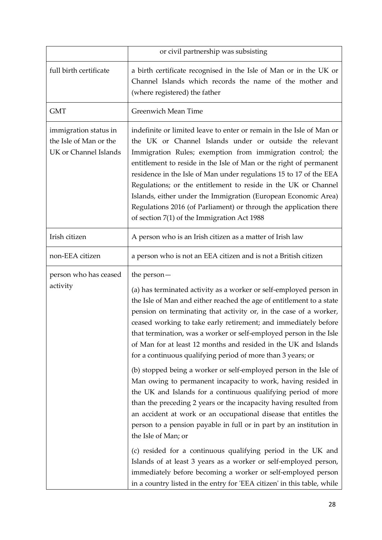|                                                                          | or civil partnership was subsisting                                                                                                                                                                                                                                                                                                                                                                                                                                                                                                                                                                                                                                                                                                                                                                                                                                                                                                                                                                                                                                                                                                                                                                                                      |
|--------------------------------------------------------------------------|------------------------------------------------------------------------------------------------------------------------------------------------------------------------------------------------------------------------------------------------------------------------------------------------------------------------------------------------------------------------------------------------------------------------------------------------------------------------------------------------------------------------------------------------------------------------------------------------------------------------------------------------------------------------------------------------------------------------------------------------------------------------------------------------------------------------------------------------------------------------------------------------------------------------------------------------------------------------------------------------------------------------------------------------------------------------------------------------------------------------------------------------------------------------------------------------------------------------------------------|
| full birth certificate                                                   | a birth certificate recognised in the Isle of Man or in the UK or<br>Channel Islands which records the name of the mother and<br>(where registered) the father                                                                                                                                                                                                                                                                                                                                                                                                                                                                                                                                                                                                                                                                                                                                                                                                                                                                                                                                                                                                                                                                           |
| <b>GMT</b>                                                               | Greenwich Mean Time                                                                                                                                                                                                                                                                                                                                                                                                                                                                                                                                                                                                                                                                                                                                                                                                                                                                                                                                                                                                                                                                                                                                                                                                                      |
| immigration status in<br>the Isle of Man or the<br>UK or Channel Islands | indefinite or limited leave to enter or remain in the Isle of Man or<br>the UK or Channel Islands under or outside the relevant<br>Immigration Rules; exemption from immigration control; the<br>entitlement to reside in the Isle of Man or the right of permanent<br>residence in the Isle of Man under regulations 15 to 17 of the EEA<br>Regulations; or the entitlement to reside in the UK or Channel<br>Islands, either under the Immigration (European Economic Area)<br>Regulations 2016 (of Parliament) or through the application there<br>of section $7(1)$ of the Immigration Act 1988                                                                                                                                                                                                                                                                                                                                                                                                                                                                                                                                                                                                                                      |
| Irish citizen                                                            | A person who is an Irish citizen as a matter of Irish law                                                                                                                                                                                                                                                                                                                                                                                                                                                                                                                                                                                                                                                                                                                                                                                                                                                                                                                                                                                                                                                                                                                                                                                |
| non-EEA citizen                                                          | a person who is not an EEA citizen and is not a British citizen                                                                                                                                                                                                                                                                                                                                                                                                                                                                                                                                                                                                                                                                                                                                                                                                                                                                                                                                                                                                                                                                                                                                                                          |
| person who has ceased<br>activity                                        | the person $-$<br>(a) has terminated activity as a worker or self-employed person in<br>the Isle of Man and either reached the age of entitlement to a state<br>pension on terminating that activity or, in the case of a worker,<br>ceased working to take early retirement; and immediately before<br>that termination, was a worker or self-employed person in the Isle<br>of Man for at least 12 months and resided in the UK and Islands<br>for a continuous qualifying period of more than 3 years; or<br>(b) stopped being a worker or self-employed person in the Isle of<br>Man owing to permanent incapacity to work, having resided in<br>the UK and Islands for a continuous qualifying period of more<br>than the preceding 2 years or the incapacity having resulted from<br>an accident at work or an occupational disease that entitles the<br>person to a pension payable in full or in part by an institution in<br>the Isle of Man; or<br>(c) resided for a continuous qualifying period in the UK and<br>Islands of at least 3 years as a worker or self-employed person,<br>immediately before becoming a worker or self-employed person<br>in a country listed in the entry for 'EEA citizen' in this table, while |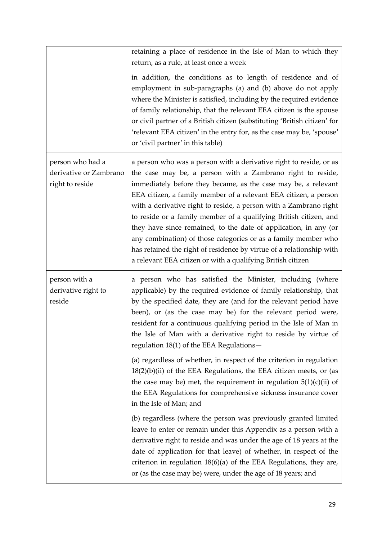|                                                               | retaining a place of residence in the Isle of Man to which they<br>return, as a rule, at least once a week<br>in addition, the conditions as to length of residence and of<br>employment in sub-paragraphs (a) and (b) above do not apply<br>where the Minister is satisfied, including by the required evidence<br>of family relationship, that the relevant EEA citizen is the spouse<br>or civil partner of a British citizen (substituting 'British citizen' for<br>'relevant EEA citizen' in the entry for, as the case may be, 'spouse'<br>or 'civil partner' in this table)                                                                                                                                                                                                                                                                                                                                                                                                                                                                                                                                                    |
|---------------------------------------------------------------|---------------------------------------------------------------------------------------------------------------------------------------------------------------------------------------------------------------------------------------------------------------------------------------------------------------------------------------------------------------------------------------------------------------------------------------------------------------------------------------------------------------------------------------------------------------------------------------------------------------------------------------------------------------------------------------------------------------------------------------------------------------------------------------------------------------------------------------------------------------------------------------------------------------------------------------------------------------------------------------------------------------------------------------------------------------------------------------------------------------------------------------|
| person who had a<br>derivative or Zambrano<br>right to reside | a person who was a person with a derivative right to reside, or as<br>the case may be, a person with a Zambrano right to reside,<br>immediately before they became, as the case may be, a relevant<br>EEA citizen, a family member of a relevant EEA citizen, a person<br>with a derivative right to reside, a person with a Zambrano right<br>to reside or a family member of a qualifying British citizen, and<br>they have since remained, to the date of application, in any (or<br>any combination) of those categories or as a family member who<br>has retained the right of residence by virtue of a relationship with<br>a relevant EEA citizen or with a qualifying British citizen                                                                                                                                                                                                                                                                                                                                                                                                                                         |
| person with a<br>derivative right to<br>reside                | a person who has satisfied the Minister, including (where<br>applicable) by the required evidence of family relationship, that<br>by the specified date, they are (and for the relevant period have<br>been), or (as the case may be) for the relevant period were,<br>resident for a continuous qualifying period in the Isle of Man in<br>the Isle of Man with a derivative right to reside by virtue of<br>regulation 18(1) of the EEA Regulations-<br>(a) regardless of whether, in respect of the criterion in regulation<br>$18(2)(b)(ii)$ of the EEA Regulations, the EEA citizen meets, or (as<br>the case may be) met, the requirement in regulation $5(1)(c)(ii)$ of<br>the EEA Regulations for comprehensive sickness insurance cover<br>in the Isle of Man; and<br>(b) regardless (where the person was previously granted limited<br>leave to enter or remain under this Appendix as a person with a<br>derivative right to reside and was under the age of 18 years at the<br>date of application for that leave) of whether, in respect of the<br>criterion in regulation $18(6)(a)$ of the EEA Regulations, they are, |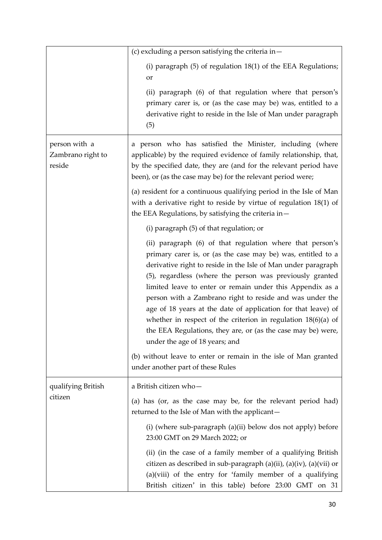|                                              | (c) excluding a person satisfying the criteria in $-$                                                                                                                                                                                                                                                                                                                                                                                                                                                                                                                                                                                                                                    |
|----------------------------------------------|------------------------------------------------------------------------------------------------------------------------------------------------------------------------------------------------------------------------------------------------------------------------------------------------------------------------------------------------------------------------------------------------------------------------------------------------------------------------------------------------------------------------------------------------------------------------------------------------------------------------------------------------------------------------------------------|
|                                              | (i) paragraph $(5)$ of regulation 18 $(1)$ of the EEA Regulations;<br>or                                                                                                                                                                                                                                                                                                                                                                                                                                                                                                                                                                                                                 |
|                                              | (ii) paragraph (6) of that regulation where that person's<br>primary carer is, or (as the case may be) was, entitled to a<br>derivative right to reside in the Isle of Man under paragraph<br>(5)                                                                                                                                                                                                                                                                                                                                                                                                                                                                                        |
| person with a<br>Zambrano right to<br>reside | a person who has satisfied the Minister, including (where<br>applicable) by the required evidence of family relationship, that,<br>by the specified date, they are (and for the relevant period have<br>been), or (as the case may be) for the relevant period were;                                                                                                                                                                                                                                                                                                                                                                                                                     |
|                                              | (a) resident for a continuous qualifying period in the Isle of Man<br>with a derivative right to reside by virtue of regulation $18(1)$ of<br>the EEA Regulations, by satisfying the criteria in-                                                                                                                                                                                                                                                                                                                                                                                                                                                                                        |
|                                              | (i) paragraph (5) of that regulation; or                                                                                                                                                                                                                                                                                                                                                                                                                                                                                                                                                                                                                                                 |
|                                              | (ii) paragraph (6) of that regulation where that person's<br>primary carer is, or (as the case may be) was, entitled to a<br>derivative right to reside in the Isle of Man under paragraph<br>(5), regardless (where the person was previously granted<br>limited leave to enter or remain under this Appendix as a<br>person with a Zambrano right to reside and was under the<br>age of 18 years at the date of application for that leave) of<br>whether in respect of the criterion in regulation $18(6)(a)$ of<br>the EEA Regulations, they are, or (as the case may be) were,<br>under the age of 18 years; and<br>(b) without leave to enter or remain in the isle of Man granted |
|                                              | under another part of these Rules                                                                                                                                                                                                                                                                                                                                                                                                                                                                                                                                                                                                                                                        |
| qualifying British<br>citizen                | a British citizen who-<br>(a) has (or, as the case may be, for the relevant period had)<br>returned to the Isle of Man with the applicant-                                                                                                                                                                                                                                                                                                                                                                                                                                                                                                                                               |
|                                              | (i) (where sub-paragraph (a)(ii) below dos not apply) before<br>23:00 GMT on 29 March 2022; or                                                                                                                                                                                                                                                                                                                                                                                                                                                                                                                                                                                           |
|                                              | (ii) (in the case of a family member of a qualifying British<br>citizen as described in sub-paragraph (a)(ii), (a)(iv), (a)(vii) or<br>$(a)(viii)$ of the entry for 'family member of a qualifying<br>British citizen' in this table) before 23:00 GMT on 31                                                                                                                                                                                                                                                                                                                                                                                                                             |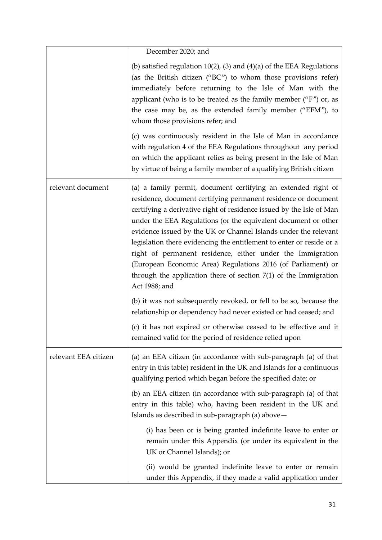|                      | December 2020; and                                                                                                                                                                                                                                                                                                                                                                                                                                                                                                                                                                                                                        |
|----------------------|-------------------------------------------------------------------------------------------------------------------------------------------------------------------------------------------------------------------------------------------------------------------------------------------------------------------------------------------------------------------------------------------------------------------------------------------------------------------------------------------------------------------------------------------------------------------------------------------------------------------------------------------|
|                      | (b) satisfied regulation $10(2)$ , (3) and (4)(a) of the EEA Regulations<br>(as the British citizen ("BC") to whom those provisions refer)<br>immediately before returning to the Isle of Man with the<br>applicant (who is to be treated as the family member (" $F$ ") or, as<br>the case may be, as the extended family member ("EFM"), to<br>whom those provisions refer; and                                                                                                                                                                                                                                                         |
|                      | (c) was continuously resident in the Isle of Man in accordance<br>with regulation 4 of the EEA Regulations throughout any period<br>on which the applicant relies as being present in the Isle of Man<br>by virtue of being a family member of a qualifying British citizen                                                                                                                                                                                                                                                                                                                                                               |
| relevant document    | (a) a family permit, document certifying an extended right of<br>residence, document certifying permanent residence or document<br>certifying a derivative right of residence issued by the Isle of Man<br>under the EEA Regulations (or the equivalent document or other<br>evidence issued by the UK or Channel Islands under the relevant<br>legislation there evidencing the entitlement to enter or reside or a<br>right of permanent residence, either under the Immigration<br>(European Economic Area) Regulations 2016 (of Parliament) or<br>through the application there of section $7(1)$ of the Immigration<br>Act 1988; and |
|                      | (b) it was not subsequently revoked, or fell to be so, because the<br>relationship or dependency had never existed or had ceased; and                                                                                                                                                                                                                                                                                                                                                                                                                                                                                                     |
|                      | (c) it has not expired or otherwise ceased to be effective and it<br>remained valid for the period of residence relied upon                                                                                                                                                                                                                                                                                                                                                                                                                                                                                                               |
| relevant EEA citizen | (a) an EEA citizen (in accordance with sub-paragraph (a) of that<br>entry in this table) resident in the UK and Islands for a continuous<br>qualifying period which began before the specified date; or                                                                                                                                                                                                                                                                                                                                                                                                                                   |
|                      | (b) an EEA citizen (in accordance with sub-paragraph (a) of that<br>entry in this table) who, having been resident in the UK and<br>Islands as described in sub-paragraph (a) above-                                                                                                                                                                                                                                                                                                                                                                                                                                                      |
|                      | (i) has been or is being granted indefinite leave to enter or<br>remain under this Appendix (or under its equivalent in the<br>UK or Channel Islands); or                                                                                                                                                                                                                                                                                                                                                                                                                                                                                 |
|                      | (ii) would be granted indefinite leave to enter or remain<br>under this Appendix, if they made a valid application under                                                                                                                                                                                                                                                                                                                                                                                                                                                                                                                  |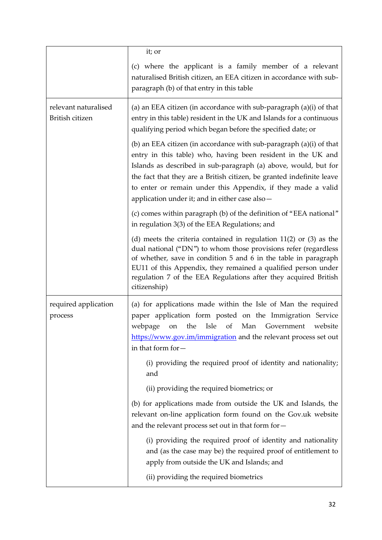|                                         | it; or                                                                                                                                                                                                                                                                                                                                                                                            |
|-----------------------------------------|---------------------------------------------------------------------------------------------------------------------------------------------------------------------------------------------------------------------------------------------------------------------------------------------------------------------------------------------------------------------------------------------------|
|                                         | (c) where the applicant is a family member of a relevant<br>naturalised British citizen, an EEA citizen in accordance with sub-<br>paragraph (b) of that entry in this table                                                                                                                                                                                                                      |
| relevant naturalised<br>British citizen | (a) an EEA citizen (in accordance with sub-paragraph $(a)(i)$ of that<br>entry in this table) resident in the UK and Islands for a continuous<br>qualifying period which began before the specified date; or                                                                                                                                                                                      |
|                                         | (b) an EEA citizen (in accordance with sub-paragraph (a)(i) of that<br>entry in this table) who, having been resident in the UK and<br>Islands as described in sub-paragraph (a) above, would, but for<br>the fact that they are a British citizen, be granted indefinite leave<br>to enter or remain under this Appendix, if they made a valid<br>application under it; and in either case also- |
|                                         | (c) comes within paragraph (b) of the definition of "EEA national"<br>in regulation 3(3) of the EEA Regulations; and                                                                                                                                                                                                                                                                              |
|                                         | (d) meets the criteria contained in regulation $11(2)$ or $(3)$ as the<br>dual national ("DN") to whom those provisions refer (regardless<br>of whether, save in condition 5 and 6 in the table in paragraph<br>EU11 of this Appendix, they remained a qualified person under<br>regulation 7 of the EEA Regulations after they acquired British<br>citizenship)                                  |
| required application<br>process         | (a) for applications made within the Isle of Man the required<br>paper application form posted on the Immigration Service<br>webpage<br>the Isle<br>of Man Government<br>on<br>website<br>https://www.gov.im/immigration and the relevant process set out<br>in that form for-<br>(i) providing the required proof of identity and nationality;                                                   |
|                                         | and<br>(ii) providing the required biometrics; or                                                                                                                                                                                                                                                                                                                                                 |
|                                         | (b) for applications made from outside the UK and Islands, the<br>relevant on-line application form found on the Gov.uk website<br>and the relevant process set out in that form for-                                                                                                                                                                                                             |
|                                         | (i) providing the required proof of identity and nationality<br>and (as the case may be) the required proof of entitlement to<br>apply from outside the UK and Islands; and                                                                                                                                                                                                                       |
|                                         | (ii) providing the required biometrics                                                                                                                                                                                                                                                                                                                                                            |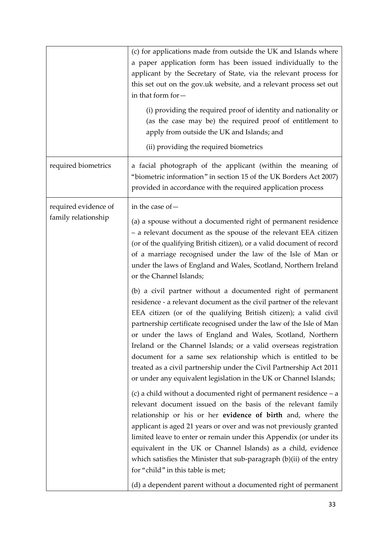|                      | (c) for applications made from outside the UK and Islands where<br>a paper application form has been issued individually to the<br>applicant by the Secretary of State, via the relevant process for<br>this set out on the gov.uk website, and a relevant process set out<br>in that form for-<br>(i) providing the required proof of identity and nationality or<br>(as the case may be) the required proof of entitlement to<br>apply from outside the UK and Islands; and<br>(ii) providing the required biometrics                                                                                                                                                                                                                                                                                                            |
|----------------------|------------------------------------------------------------------------------------------------------------------------------------------------------------------------------------------------------------------------------------------------------------------------------------------------------------------------------------------------------------------------------------------------------------------------------------------------------------------------------------------------------------------------------------------------------------------------------------------------------------------------------------------------------------------------------------------------------------------------------------------------------------------------------------------------------------------------------------|
| required biometrics  | a facial photograph of the applicant (within the meaning of<br>"biometric information" in section 15 of the UK Borders Act 2007)<br>provided in accordance with the required application process                                                                                                                                                                                                                                                                                                                                                                                                                                                                                                                                                                                                                                   |
| required evidence of | in the case of -                                                                                                                                                                                                                                                                                                                                                                                                                                                                                                                                                                                                                                                                                                                                                                                                                   |
| family relationship  | (a) a spouse without a documented right of permanent residence<br>- a relevant document as the spouse of the relevant EEA citizen<br>(or of the qualifying British citizen), or a valid document of record<br>of a marriage recognised under the law of the Isle of Man or<br>under the laws of England and Wales, Scotland, Northern Ireland<br>or the Channel Islands;                                                                                                                                                                                                                                                                                                                                                                                                                                                           |
|                      | (b) a civil partner without a documented right of permanent<br>residence - a relevant document as the civil partner of the relevant<br>EEA citizen (or of the qualifying British citizen); a valid civil<br>partnership certificate recognised under the law of the Isle of Man<br>or under the laws of England and Wales, Scotland, Northern<br>Ireland or the Channel Islands; or a valid overseas registration<br>document for a same sex relationship which is entitled to be<br>treated as a civil partnership under the Civil Partnership Act 2011<br>or under any equivalent legislation in the UK or Channel Islands;<br>(c) a child without a documented right of permanent residence $-a$<br>relevant document issued on the basis of the relevant family<br>relationship or his or her evidence of birth and, where the |
|                      | applicant is aged 21 years or over and was not previously granted<br>limited leave to enter or remain under this Appendix (or under its<br>equivalent in the UK or Channel Islands) as a child, evidence<br>which satisfies the Minister that sub-paragraph (b)(ii) of the entry<br>for "child" in this table is met;<br>(d) a dependent parent without a documented right of permanent                                                                                                                                                                                                                                                                                                                                                                                                                                            |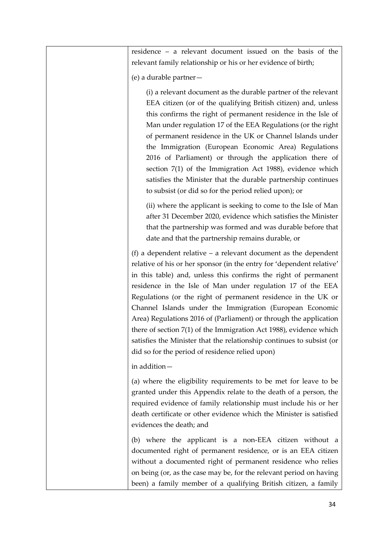residence – a relevant document issued on the basis of the relevant family relationship or his or her evidence of birth;

(e) a durable partner—

(i) a relevant document as the durable partner of the relevant EEA citizen (or of the qualifying British citizen) and, unless this confirms the right of permanent residence in the Isle of Man under regulation 17 of the EEA Regulations (or the right of permanent residence in the UK or Channel Islands under the Immigration (European Economic Area) Regulations 2016 of Parliament) or through the application there of section 7(1) of the Immigration Act 1988), evidence which satisfies the Minister that the durable partnership continues to subsist (or did so for the period relied upon); or

(ii) where the applicant is seeking to come to the Isle of Man after 31 December 2020, evidence which satisfies the Minister that the partnership was formed and was durable before that date and that the partnership remains durable, or

(f) a dependent relative – a relevant document as the dependent relative of his or her sponsor (in the entry for 'dependent relative' in this table) and, unless this confirms the right of permanent residence in the Isle of Man under regulation 17 of the EEA Regulations (or the right of permanent residence in the UK or Channel Islands under the Immigration (European Economic Area) Regulations 2016 of (Parliament) or through the application there of section 7(1) of the Immigration Act 1988), evidence which satisfies the Minister that the relationship continues to subsist (or did so for the period of residence relied upon)

in addition—

(a) where the eligibility requirements to be met for leave to be granted under this Appendix relate to the death of a person, the required evidence of family relationship must include his or her death certificate or other evidence which the Minister is satisfied evidences the death; and

(b) where the applicant is a non-EEA citizen without a documented right of permanent residence, or is an EEA citizen without a documented right of permanent residence who relies on being (or, as the case may be, for the relevant period on having been) a family member of a qualifying British citizen, a family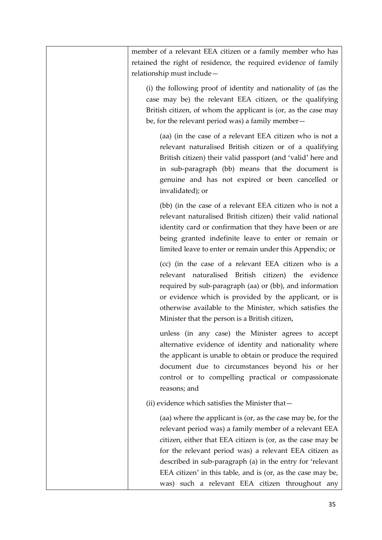| member of a relevant EEA citizen or a family member who has<br>retained the right of residence, the required evidence of family<br>relationship must include-                                                                                                                                                                                                               |
|-----------------------------------------------------------------------------------------------------------------------------------------------------------------------------------------------------------------------------------------------------------------------------------------------------------------------------------------------------------------------------|
| (i) the following proof of identity and nationality of (as the<br>case may be) the relevant EEA citizen, or the qualifying<br>British citizen, of whom the applicant is (or, as the case may<br>be, for the relevant period was) a family member-                                                                                                                           |
| (aa) (in the case of a relevant EEA citizen who is not a<br>relevant naturalised British citizen or of a qualifying<br>British citizen) their valid passport (and 'valid' here and<br>in sub-paragraph (bb) means that the document is<br>genuine and has not expired or been cancelled or<br>invalidated); or                                                              |
| (bb) (in the case of a relevant EEA citizen who is not a<br>relevant naturalised British citizen) their valid national<br>identity card or confirmation that they have been or are<br>being granted indefinite leave to enter or remain or<br>limited leave to enter or remain under this Appendix; or                                                                      |
| (cc) (in the case of a relevant EEA citizen who is a<br>relevant naturalised British citizen) the evidence<br>required by sub-paragraph (aa) or (bb), and information<br>or evidence which is provided by the applicant, or is<br>otherwise available to the Minister, which satisfies the<br>Minister that the person is a British citizen,                                |
| unless (in any case) the Minister agrees to accept<br>alternative evidence of identity and nationality where<br>the applicant is unable to obtain or produce the required<br>document due to circumstances beyond his or her<br>control or to compelling practical or compassionate<br>reasons; and                                                                         |
| (ii) evidence which satisfies the Minister that-                                                                                                                                                                                                                                                                                                                            |
| (aa) where the applicant is (or, as the case may be, for the<br>relevant period was) a family member of a relevant EEA<br>citizen, either that EEA citizen is (or, as the case may be<br>for the relevant period was) a relevant EEA citizen as<br>described in sub-paragraph (a) in the entry for 'relevant<br>EEA citizen' in this table, and is (or, as the case may be, |
| was) such a relevant EEA citizen throughout any                                                                                                                                                                                                                                                                                                                             |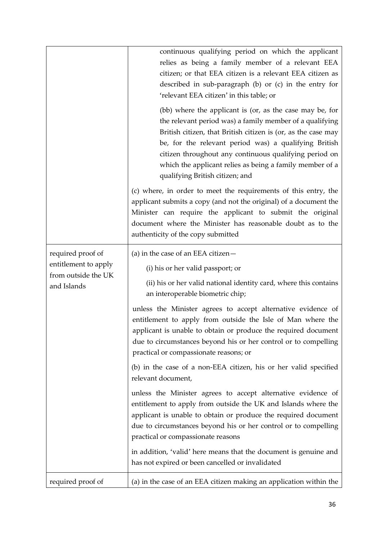|                                                                                 | continuous qualifying period on which the applicant<br>relies as being a family member of a relevant EEA<br>citizen; or that EEA citizen is a relevant EEA citizen as<br>described in sub-paragraph (b) or (c) in the entry for<br>'relevant EEA citizen' in this table; or<br>(bb) where the applicant is (or, as the case may be, for     |
|---------------------------------------------------------------------------------|---------------------------------------------------------------------------------------------------------------------------------------------------------------------------------------------------------------------------------------------------------------------------------------------------------------------------------------------|
|                                                                                 | the relevant period was) a family member of a qualifying<br>British citizen, that British citizen is (or, as the case may<br>be, for the relevant period was) a qualifying British<br>citizen throughout any continuous qualifying period on<br>which the applicant relies as being a family member of a<br>qualifying British citizen; and |
|                                                                                 | (c) where, in order to meet the requirements of this entry, the<br>applicant submits a copy (and not the original) of a document the<br>Minister can require the applicant to submit the original<br>document where the Minister has reasonable doubt as to the<br>authenticity of the copy submitted                                       |
| required proof of<br>entitlement to apply<br>from outside the UK<br>and Islands | (a) in the case of an EEA citizen $-$                                                                                                                                                                                                                                                                                                       |
|                                                                                 | (i) his or her valid passport; or<br>(ii) his or her valid national identity card, where this contains<br>an interoperable biometric chip;                                                                                                                                                                                                  |
|                                                                                 | unless the Minister agrees to accept alternative evidence of<br>entitlement to apply from outside the Isle of Man where the<br>applicant is unable to obtain or produce the required document<br>due to circumstances beyond his or her control or to compelling<br>practical or compassionate reasons; or                                  |
|                                                                                 | (b) in the case of a non-EEA citizen, his or her valid specified<br>relevant document,                                                                                                                                                                                                                                                      |
|                                                                                 | unless the Minister agrees to accept alternative evidence of<br>entitlement to apply from outside the UK and Islands where the<br>applicant is unable to obtain or produce the required document<br>due to circumstances beyond his or her control or to compelling<br>practical or compassionate reasons                                   |
|                                                                                 | in addition, 'valid' here means that the document is genuine and<br>has not expired or been cancelled or invalidated                                                                                                                                                                                                                        |
| required proof of                                                               | (a) in the case of an EEA citizen making an application within the                                                                                                                                                                                                                                                                          |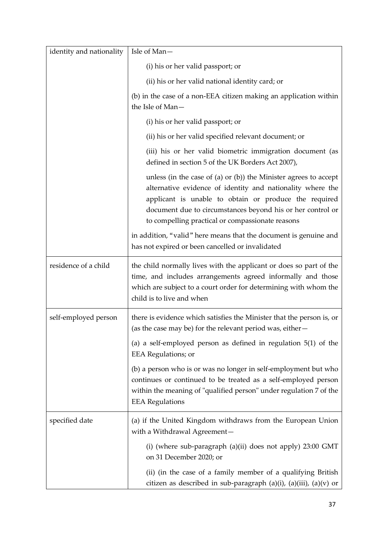| identity and nationality | Isle of Man-                                                                                                                                                                                                                                                                                              |
|--------------------------|-----------------------------------------------------------------------------------------------------------------------------------------------------------------------------------------------------------------------------------------------------------------------------------------------------------|
|                          | (i) his or her valid passport; or                                                                                                                                                                                                                                                                         |
|                          | (ii) his or her valid national identity card; or                                                                                                                                                                                                                                                          |
|                          | (b) in the case of a non-EEA citizen making an application within                                                                                                                                                                                                                                         |
|                          | the Isle of Man-                                                                                                                                                                                                                                                                                          |
|                          | (i) his or her valid passport; or                                                                                                                                                                                                                                                                         |
|                          | (ii) his or her valid specified relevant document; or                                                                                                                                                                                                                                                     |
|                          | (iii) his or her valid biometric immigration document (as<br>defined in section 5 of the UK Borders Act 2007),                                                                                                                                                                                            |
|                          | unless (in the case of (a) or (b)) the Minister agrees to accept<br>alternative evidence of identity and nationality where the<br>applicant is unable to obtain or produce the required<br>document due to circumstances beyond his or her control or<br>to compelling practical or compassionate reasons |
|                          | in addition, "valid" here means that the document is genuine and<br>has not expired or been cancelled or invalidated                                                                                                                                                                                      |
| residence of a child     | the child normally lives with the applicant or does so part of the<br>time, and includes arrangements agreed informally and those<br>which are subject to a court order for determining with whom the<br>child is to live and when                                                                        |
| self-employed person     | there is evidence which satisfies the Minister that the person is, or<br>(as the case may be) for the relevant period was, either -                                                                                                                                                                       |
|                          | (a) a self-employed person as defined in regulation $5(1)$ of the<br><b>EEA</b> Regulations; or                                                                                                                                                                                                           |
|                          | (b) a person who is or was no longer in self-employment but who<br>continues or continued to be treated as a self-employed person<br>within the meaning of "qualified person" under regulation 7 of the<br><b>EEA Regulations</b>                                                                         |
| specified date           | (a) if the United Kingdom withdraws from the European Union<br>with a Withdrawal Agreement-                                                                                                                                                                                                               |
|                          | (i) (where sub-paragraph (a)(ii) does not apply) 23:00 GMT<br>on 31 December 2020; or                                                                                                                                                                                                                     |
|                          | (ii) (in the case of a family member of a qualifying British<br>citizen as described in sub-paragraph (a)(i), (a)(iii), (a)(v) or                                                                                                                                                                         |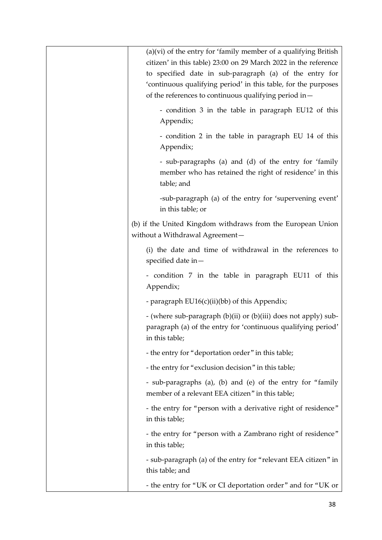| $(a)(vi)$ of the entry for 'family member of a qualifying British<br>citizen' in this table) 23:00 on 29 March 2022 in the reference<br>to specified date in sub-paragraph (a) of the entry for<br>'continuous qualifying period' in this table, for the purposes<br>of the references to continuous qualifying period in- |
|----------------------------------------------------------------------------------------------------------------------------------------------------------------------------------------------------------------------------------------------------------------------------------------------------------------------------|
| - condition 3 in the table in paragraph EU12 of this<br>Appendix;                                                                                                                                                                                                                                                          |
| - condition 2 in the table in paragraph EU 14 of this<br>Appendix;                                                                                                                                                                                                                                                         |
| - sub-paragraphs (a) and (d) of the entry for 'family<br>member who has retained the right of residence' in this<br>table; and                                                                                                                                                                                             |
| -sub-paragraph (a) of the entry for 'supervening event'<br>in this table; or                                                                                                                                                                                                                                               |
| (b) if the United Kingdom withdraws from the European Union<br>without a Withdrawal Agreement-                                                                                                                                                                                                                             |
| (i) the date and time of withdrawal in the references to<br>specified date in $-$                                                                                                                                                                                                                                          |
| - condition 7 in the table in paragraph EU11 of this<br>Appendix;                                                                                                                                                                                                                                                          |
| - paragraph EU16(c)(ii)(bb) of this Appendix;                                                                                                                                                                                                                                                                              |
| - (where sub-paragraph (b)(ii) or (b)(iii) does not apply) sub-<br>paragraph (a) of the entry for 'continuous qualifying period'<br>in this table;                                                                                                                                                                         |
| - the entry for "deportation order" in this table;                                                                                                                                                                                                                                                                         |
| - the entry for "exclusion decision" in this table;                                                                                                                                                                                                                                                                        |
| - sub-paragraphs (a), (b) and (e) of the entry for "family<br>member of a relevant EEA citizen" in this table;                                                                                                                                                                                                             |
| - the entry for "person with a derivative right of residence"<br>in this table;                                                                                                                                                                                                                                            |
| - the entry for "person with a Zambrano right of residence"<br>in this table;                                                                                                                                                                                                                                              |
| - sub-paragraph (a) of the entry for "relevant EEA citizen" in<br>this table; and                                                                                                                                                                                                                                          |
| - the entry for "UK or CI deportation order" and for "UK or                                                                                                                                                                                                                                                                |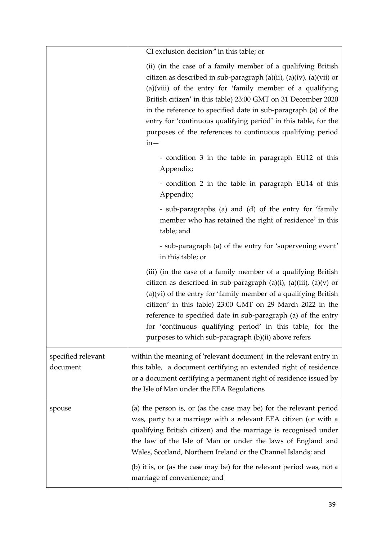|                                | CI exclusion decision" in this table; or                                                                                                                                                                                                                                                                                                                                                                                                                                         |
|--------------------------------|----------------------------------------------------------------------------------------------------------------------------------------------------------------------------------------------------------------------------------------------------------------------------------------------------------------------------------------------------------------------------------------------------------------------------------------------------------------------------------|
|                                | (ii) (in the case of a family member of a qualifying British<br>citizen as described in sub-paragraph (a)(ii), (a)(iv), (a)(vii) or<br>$(a)(viii)$ of the entry for 'family member of a qualifying<br>British citizen' in this table) 23:00 GMT on 31 December 2020<br>in the reference to specified date in sub-paragraph (a) of the<br>entry for 'continuous qualifying period' in this table, for the<br>purposes of the references to continuous qualifying period<br>$in -$ |
|                                | - condition 3 in the table in paragraph EU12 of this<br>Appendix;                                                                                                                                                                                                                                                                                                                                                                                                                |
|                                | - condition 2 in the table in paragraph EU14 of this<br>Appendix;                                                                                                                                                                                                                                                                                                                                                                                                                |
|                                | - sub-paragraphs (a) and (d) of the entry for 'family<br>member who has retained the right of residence' in this<br>table; and                                                                                                                                                                                                                                                                                                                                                   |
|                                | - sub-paragraph (a) of the entry for 'supervening event'<br>in this table; or                                                                                                                                                                                                                                                                                                                                                                                                    |
|                                | (iii) (in the case of a family member of a qualifying British<br>citizen as described in sub-paragraph $(a)(i)$ , $(a)(iii)$ , $(a)(v)$ or<br>(a)(vi) of the entry for 'family member of a qualifying British<br>citizen' in this table) 23:00 GMT on 29 March 2022 in the<br>reference to specified date in sub-paragraph (a) of the entry<br>for 'continuous qualifying period' in this table, for the<br>purposes to which sub-paragraph (b)(ii) above refers                 |
| specified relevant<br>document | within the meaning of 'relevant document' in the relevant entry in<br>this table, a document certifying an extended right of residence<br>or a document certifying a permanent right of residence issued by<br>the Isle of Man under the EEA Regulations                                                                                                                                                                                                                         |
| spouse                         | (a) the person is, or (as the case may be) for the relevant period<br>was, party to a marriage with a relevant EEA citizen (or with a<br>qualifying British citizen) and the marriage is recognised under<br>the law of the Isle of Man or under the laws of England and<br>Wales, Scotland, Northern Ireland or the Channel Islands; and<br>(b) it is, or (as the case may be) for the relevant period was, not a                                                               |
|                                | marriage of convenience; and                                                                                                                                                                                                                                                                                                                                                                                                                                                     |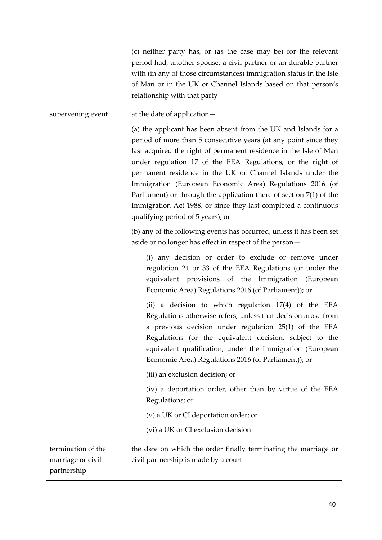|                                                        | (c) neither party has, or (as the case may be) for the relevant<br>period had, another spouse, a civil partner or an durable partner<br>with (in any of those circumstances) immigration status in the Isle<br>of Man or in the UK or Channel Islands based on that person's<br>relationship with that party                                                   |
|--------------------------------------------------------|----------------------------------------------------------------------------------------------------------------------------------------------------------------------------------------------------------------------------------------------------------------------------------------------------------------------------------------------------------------|
| supervening event                                      | at the date of application-<br>(a) the applicant has been absent from the UK and Islands for a<br>period of more than 5 consecutive years (at any point since they<br>last acquired the right of permanent residence in the Isle of Man<br>under regulation 17 of the EEA Regulations, or the right of                                                         |
|                                                        | permanent residence in the UK or Channel Islands under the<br>Immigration (European Economic Area) Regulations 2016 (of<br>Parliament) or through the application there of section $7(1)$ of the<br>Immigration Act 1988, or since they last completed a continuous<br>qualifying period of 5 years); or                                                       |
|                                                        | (b) any of the following events has occurred, unless it has been set<br>aside or no longer has effect in respect of the person-                                                                                                                                                                                                                                |
|                                                        | (i) any decision or order to exclude or remove under<br>regulation 24 or 33 of the EEA Regulations (or under the<br>equivalent provisions of the Immigration (European<br>Economic Area) Regulations 2016 (of Parliament)); or                                                                                                                                 |
|                                                        | (ii) a decision to which regulation 17(4) of the EEA<br>Regulations otherwise refers, unless that decision arose from<br>a previous decision under regulation 25(1) of the EEA<br>Regulations (or the equivalent decision, subject to the<br>equivalent qualification, under the Immigration (European<br>Economic Area) Regulations 2016 (of Parliament)); or |
|                                                        | (iii) an exclusion decision; or                                                                                                                                                                                                                                                                                                                                |
|                                                        | (iv) a deportation order, other than by virtue of the EEA<br>Regulations; or                                                                                                                                                                                                                                                                                   |
|                                                        | (v) a UK or CI deportation order; or<br>(vi) a UK or CI exclusion decision                                                                                                                                                                                                                                                                                     |
| termination of the<br>marriage or civil<br>partnership | the date on which the order finally terminating the marriage or<br>civil partnership is made by a court                                                                                                                                                                                                                                                        |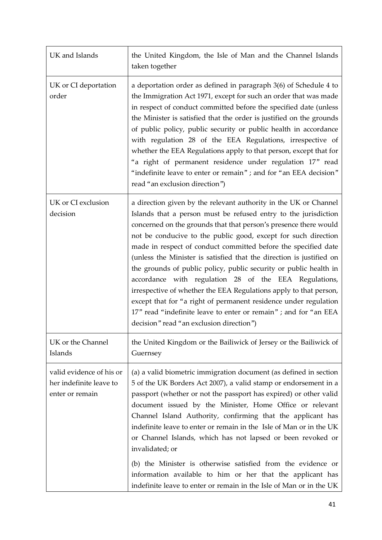| UK and Islands                                                         | the United Kingdom, the Isle of Man and the Channel Islands<br>taken together                                                                                                                                                                                                                                                                                                                                                                                                                                                                                                                                                                                                                                                                                                                             |
|------------------------------------------------------------------------|-----------------------------------------------------------------------------------------------------------------------------------------------------------------------------------------------------------------------------------------------------------------------------------------------------------------------------------------------------------------------------------------------------------------------------------------------------------------------------------------------------------------------------------------------------------------------------------------------------------------------------------------------------------------------------------------------------------------------------------------------------------------------------------------------------------|
| UK or CI deportation<br>order                                          | a deportation order as defined in paragraph 3(6) of Schedule 4 to<br>the Immigration Act 1971, except for such an order that was made<br>in respect of conduct committed before the specified date (unless<br>the Minister is satisfied that the order is justified on the grounds<br>of public policy, public security or public health in accordance<br>with regulation 28 of the EEA Regulations, irrespective of<br>whether the EEA Regulations apply to that person, except that for<br>"a right of permanent residence under regulation 17" read<br>"indefinite leave to enter or remain"; and for "an EEA decision"<br>read "an exclusion direction")                                                                                                                                              |
| UK or CI exclusion<br>decision                                         | a direction given by the relevant authority in the UK or Channel<br>Islands that a person must be refused entry to the jurisdiction<br>concerned on the grounds that that person's presence there would<br>not be conducive to the public good, except for such direction<br>made in respect of conduct committed before the specified date<br>(unless the Minister is satisfied that the direction is justified on<br>the grounds of public policy, public security or public health in<br>accordance with regulation 28 of the EEA Regulations,<br>irrespective of whether the EEA Regulations apply to that person,<br>except that for "a right of permanent residence under regulation<br>17" read "indefinite leave to enter or remain"; and for "an EEA<br>decision" read "an exclusion direction") |
| UK or the Channel<br>Islands                                           | the United Kingdom or the Bailiwick of Jersey or the Bailiwick of<br>Guernsey                                                                                                                                                                                                                                                                                                                                                                                                                                                                                                                                                                                                                                                                                                                             |
| valid evidence of his or<br>her indefinite leave to<br>enter or remain | (a) a valid biometric immigration document (as defined in section<br>5 of the UK Borders Act 2007), a valid stamp or endorsement in a<br>passport (whether or not the passport has expired) or other valid<br>document issued by the Minister, Home Office or relevant<br>Channel Island Authority, confirming that the applicant has<br>indefinite leave to enter or remain in the Isle of Man or in the UK<br>or Channel Islands, which has not lapsed or been revoked or<br>invalidated; or<br>(b) the Minister is otherwise satisfied from the evidence or<br>information available to him or her that the applicant has<br>indefinite leave to enter or remain in the Isle of Man or in the UK                                                                                                       |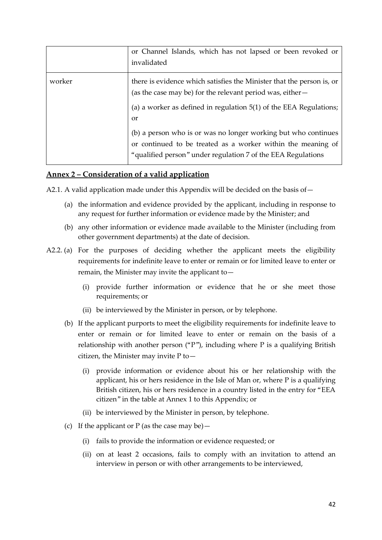|        | or Channel Islands, which has not lapsed or been revoked or<br>invalidated                                                                                                                                                   |
|--------|------------------------------------------------------------------------------------------------------------------------------------------------------------------------------------------------------------------------------|
| worker | there is evidence which satisfies the Minister that the person is, or<br>(as the case may be) for the relevant period was, either -<br>(a) a worker as defined in regulation $5(1)$ of the EEA Regulations;<br><sub>or</sub> |
|        | (b) a person who is or was no longer working but who continues<br>or continued to be treated as a worker within the meaning of<br>"qualified person" under regulation 7 of the EEA Regulations                               |

#### **Annex 2 – Consideration of a valid application**

A2.1. A valid application made under this Appendix will be decided on the basis of -

- (a) the information and evidence provided by the applicant, including in response to any request for further information or evidence made by the Minister; and
- (b) any other information or evidence made available to the Minister (including from other government departments) at the date of decision.
- A2.2. (a) For the purposes of deciding whether the applicant meets the eligibility requirements for indefinite leave to enter or remain or for limited leave to enter or remain, the Minister may invite the applicant to—
	- (i) provide further information or evidence that he or she meet those requirements; or
	- (ii) be interviewed by the Minister in person, or by telephone.
	- (b) If the applicant purports to meet the eligibility requirements for indefinite leave to enter or remain or for limited leave to enter or remain on the basis of a relationship with another person  $( P^{\prime\prime})$ , including where P is a qualifying British citizen, the Minister may invite P to—
		- (i) provide information or evidence about his or her relationship with the applicant, his or hers residence in the Isle of Man or, where P is a qualifying British citizen, his or hers residence in a country listed in the entry for "EEA citizen" in the table at Annex 1 to this Appendix; or
		- (ii) be interviewed by the Minister in person, by telephone.
	- (c) If the applicant or P (as the case may be)
		- (i) fails to provide the information or evidence requested; or
		- (ii) on at least 2 occasions, fails to comply with an invitation to attend an interview in person or with other arrangements to be interviewed,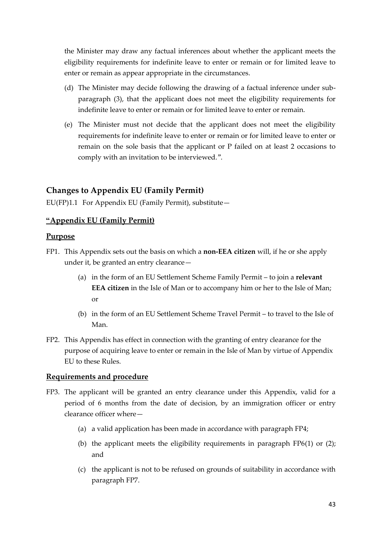the Minister may draw any factual inferences about whether the applicant meets the eligibility requirements for indefinite leave to enter or remain or for limited leave to enter or remain as appear appropriate in the circumstances.

- (d) The Minister may decide following the drawing of a factual inference under subparagraph (3), that the applicant does not meet the eligibility requirements for indefinite leave to enter or remain or for limited leave to enter or remain.
- (e) The Minister must not decide that the applicant does not meet the eligibility requirements for indefinite leave to enter or remain or for limited leave to enter or remain on the sole basis that the applicant or P failed on at least 2 occasions to comply with an invitation to be interviewed.".

## **Changes to Appendix EU (Family Permit)**

EU(FP)1.1 For Appendix EU (Family Permit), substitute $-$ 

#### **"Appendix EU (Family Permit)**

#### **Purpose**

- FP1. This Appendix sets out the basis on which a **non-EEA citizen** will, if he or she apply under it, be granted an entry clearance—
	- (a) in the form of an EU Settlement Scheme Family Permit to join a **relevant EEA citizen** in the Isle of Man or to accompany him or her to the Isle of Man; or
	- (b) in the form of an EU Settlement Scheme Travel Permit to travel to the Isle of Man.
- FP2. This Appendix has effect in connection with the granting of entry clearance for the purpose of acquiring leave to enter or remain in the Isle of Man by virtue of Appendix EU to these Rules.

#### **Requirements and procedure**

- FP3. The applicant will be granted an entry clearance under this Appendix, valid for a period of 6 months from the date of decision, by an immigration officer or entry clearance officer where—
	- (a) a valid application has been made in accordance with paragraph FP4;
	- (b) the applicant meets the eligibility requirements in paragraph FP6(1) or (2); and
	- (c) the applicant is not to be refused on grounds of suitability in accordance with paragraph FP7.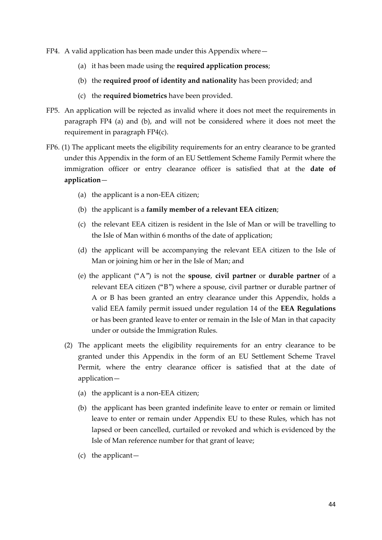- FP4. A valid application has been made under this Appendix where—
	- (a) it has been made using the **required application process**;
	- (b) the **required proof of identity and nationality** has been provided; and
	- (c) the **required biometrics** have been provided.
- FP5. An application will be rejected as invalid where it does not meet the requirements in paragraph FP4 (a) and (b), and will not be considered where it does not meet the requirement in paragraph FP4(c).
- FP6. (1) The applicant meets the eligibility requirements for an entry clearance to be granted under this Appendix in the form of an EU Settlement Scheme Family Permit where the immigration officer or entry clearance officer is satisfied that at the **date of application**—
	- (a) the applicant is a non-EEA citizen;
	- (b) the applicant is a **family member of a relevant EEA citizen**;
	- (c) the relevant EEA citizen is resident in the Isle of Man or will be travelling to the Isle of Man within 6 months of the date of application;
	- (d) the applicant will be accompanying the relevant EEA citizen to the Isle of Man or joining him or her in the Isle of Man; and
	- (e) the applicant ("A") is not the **spouse**, **civil partner** or **durable partner** of a relevant EEA citizen ("B") where a spouse, civil partner or durable partner of A or B has been granted an entry clearance under this Appendix, holds a valid EEA family permit issued under regulation 14 of the **EEA Regulations** or has been granted leave to enter or remain in the Isle of Man in that capacity under or outside the Immigration Rules.
	- (2) The applicant meets the eligibility requirements for an entry clearance to be granted under this Appendix in the form of an EU Settlement Scheme Travel Permit, where the entry clearance officer is satisfied that at the date of application—
		- (a) the applicant is a non-EEA citizen;
		- (b) the applicant has been granted indefinite leave to enter or remain or limited leave to enter or remain under Appendix EU to these Rules, which has not lapsed or been cancelled, curtailed or revoked and which is evidenced by the Isle of Man reference number for that grant of leave;
		- (c) the applicant—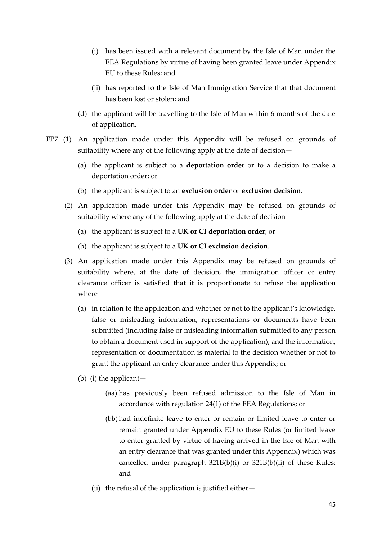- (i) has been issued with a relevant document by the Isle of Man under the EEA Regulations by virtue of having been granted leave under Appendix EU to these Rules; and
- (ii) has reported to the Isle of Man Immigration Service that that document has been lost or stolen; and
- (d) the applicant will be travelling to the Isle of Man within 6 months of the date of application.
- FP7. (1) An application made under this Appendix will be refused on grounds of suitability where any of the following apply at the date of decision—
	- (a) the applicant is subject to a **deportation order** or to a decision to make a deportation order; or
	- (b) the applicant is subject to an **exclusion order** or **exclusion decision**.
	- (2) An application made under this Appendix may be refused on grounds of suitability where any of the following apply at the date of decision—
		- (a) the applicant is subject to a **UK or CI deportation order**; or
		- (b) the applicant is subject to a **UK or CI exclusion decision**.
	- (3) An application made under this Appendix may be refused on grounds of suitability where, at the date of decision, the immigration officer or entry clearance officer is satisfied that it is proportionate to refuse the application where—
		- (a) in relation to the application and whether or not to the applicant's knowledge, false or misleading information, representations or documents have been submitted (including false or misleading information submitted to any person to obtain a document used in support of the application); and the information, representation or documentation is material to the decision whether or not to grant the applicant an entry clearance under this Appendix; or
		- (b) (i) the applicant—
			- (aa) has previously been refused admission to the Isle of Man in accordance with regulation 24(1) of the EEA Regulations; or
			- (bb) had indefinite leave to enter or remain or limited leave to enter or remain granted under Appendix EU to these Rules (or limited leave to enter granted by virtue of having arrived in the Isle of Man with an entry clearance that was granted under this Appendix) which was cancelled under paragraph 321B(b)(i) or 321B(b)(ii) of these Rules; and
			- (ii) the refusal of the application is justified either—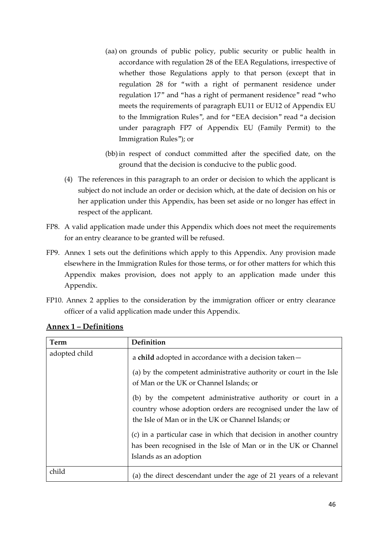- (aa) on grounds of public policy, public security or public health in accordance with regulation 28 of the EEA Regulations, irrespective of whether those Regulations apply to that person (except that in regulation 28 for "with a right of permanent residence under regulation 17" and "has a right of permanent residence" read "who meets the requirements of paragraph EU11 or EU12 of Appendix EU to the Immigration Rules", and for "EEA decision" read "a decision under paragraph FP7 of Appendix EU (Family Permit) to the Immigration Rules"); or
- (bb)in respect of conduct committed after the specified date, on the ground that the decision is conducive to the public good.
- (4) The references in this paragraph to an order or decision to which the applicant is subject do not include an order or decision which, at the date of decision on his or her application under this Appendix, has been set aside or no longer has effect in respect of the applicant.
- FP8. A valid application made under this Appendix which does not meet the requirements for an entry clearance to be granted will be refused.
- FP9. Annex 1 sets out the definitions which apply to this Appendix. Any provision made elsewhere in the Immigration Rules for those terms, or for other matters for which this Appendix makes provision, does not apply to an application made under this Appendix.
- FP10. Annex 2 applies to the consideration by the immigration officer or entry clearance officer of a valid application made under this Appendix.

| Term          | Definition                                                                                                                                                                          |
|---------------|-------------------------------------------------------------------------------------------------------------------------------------------------------------------------------------|
| adopted child | a child adopted in accordance with a decision taken-                                                                                                                                |
|               | (a) by the competent administrative authority or court in the Isle<br>of Man or the UK or Channel Islands; or                                                                       |
|               | (b) by the competent administrative authority or court in a<br>country whose adoption orders are recognised under the law of<br>the Isle of Man or in the UK or Channel Islands; or |
|               | (c) in a particular case in which that decision in another country<br>has been recognised in the Isle of Man or in the UK or Channel                                                |
|               | Islands as an adoption                                                                                                                                                              |
| child         | (a) the direct descendant under the age of 21 years of a relevant                                                                                                                   |

### **Annex 1 – Definitions**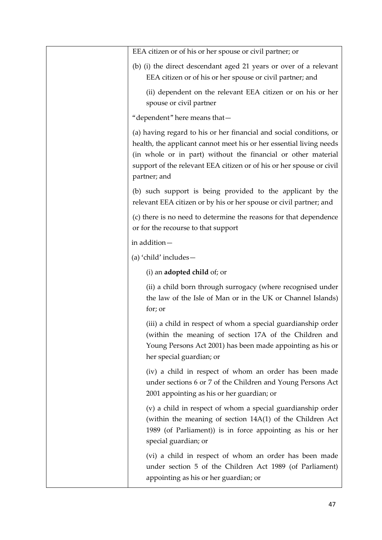| EEA citizen or of his or her spouse or civil partner; or                                                                                                                                                                                                                                            |
|-----------------------------------------------------------------------------------------------------------------------------------------------------------------------------------------------------------------------------------------------------------------------------------------------------|
| (b) (i) the direct descendant aged 21 years or over of a relevant<br>EEA citizen or of his or her spouse or civil partner; and                                                                                                                                                                      |
| (ii) dependent on the relevant EEA citizen or on his or her<br>spouse or civil partner                                                                                                                                                                                                              |
| "dependent" here means that-                                                                                                                                                                                                                                                                        |
| (a) having regard to his or her financial and social conditions, or<br>health, the applicant cannot meet his or her essential living needs<br>(in whole or in part) without the financial or other material<br>support of the relevant EEA citizen or of his or her spouse or civil<br>partner; and |
| (b) such support is being provided to the applicant by the<br>relevant EEA citizen or by his or her spouse or civil partner; and                                                                                                                                                                    |
| (c) there is no need to determine the reasons for that dependence<br>or for the recourse to that support                                                                                                                                                                                            |
| in addition-                                                                                                                                                                                                                                                                                        |
| (a) 'child' includes-                                                                                                                                                                                                                                                                               |
| $(i)$ an <b>adopted child</b> of; or                                                                                                                                                                                                                                                                |
| (ii) a child born through surrogacy (where recognised under<br>the law of the Isle of Man or in the UK or Channel Islands)<br>for; or                                                                                                                                                               |
| (iii) a child in respect of whom a special guardianship order<br>(within the meaning of section 17A of the Children and<br>Young Persons Act 2001) has been made appointing as his or<br>her special guardian; or                                                                                   |
| (iv) a child in respect of whom an order has been made<br>under sections 6 or 7 of the Children and Young Persons Act<br>2001 appointing as his or her guardian; or                                                                                                                                 |
| (v) a child in respect of whom a special guardianship order<br>(within the meaning of section 14A(1) of the Children Act<br>1989 (of Parliament)) is in force appointing as his or her<br>special guardian; or                                                                                      |
| (vi) a child in respect of whom an order has been made<br>under section 5 of the Children Act 1989 (of Parliament)<br>appointing as his or her guardian; or                                                                                                                                         |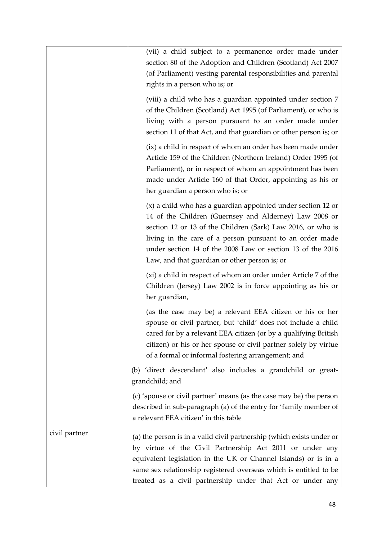|               | (vii) a child subject to a permanence order made under<br>section 80 of the Adoption and Children (Scotland) Act 2007<br>(of Parliament) vesting parental responsibilities and parental<br>rights in a person who is; or                                                                                                                                         |
|---------------|------------------------------------------------------------------------------------------------------------------------------------------------------------------------------------------------------------------------------------------------------------------------------------------------------------------------------------------------------------------|
|               | (viii) a child who has a guardian appointed under section 7<br>of the Children (Scotland) Act 1995 (of Parliament), or who is<br>living with a person pursuant to an order made under<br>section 11 of that Act, and that guardian or other person is; or                                                                                                        |
|               | (ix) a child in respect of whom an order has been made under<br>Article 159 of the Children (Northern Ireland) Order 1995 (of<br>Parliament), or in respect of whom an appointment has been<br>made under Article 160 of that Order, appointing as his or<br>her guardian a person who is; or                                                                    |
|               | (x) a child who has a guardian appointed under section 12 or<br>14 of the Children (Guernsey and Alderney) Law 2008 or<br>section 12 or 13 of the Children (Sark) Law 2016, or who is<br>living in the care of a person pursuant to an order made<br>under section 14 of the 2008 Law or section 13 of the 2016<br>Law, and that guardian or other person is; or |
|               | (xi) a child in respect of whom an order under Article 7 of the<br>Children (Jersey) Law 2002 is in force appointing as his or<br>her guardian,                                                                                                                                                                                                                  |
|               | (as the case may be) a relevant EEA citizen or his or her<br>spouse or civil partner, but 'child' does not include a child<br>cared for by a relevant EEA citizen (or by a qualifying British<br>citizen) or his or her spouse or civil partner solely by virtue<br>of a formal or informal fostering arrangement; and                                           |
|               | (b) 'direct descendant' also includes a grandchild or great-<br>grandchild; and                                                                                                                                                                                                                                                                                  |
|               | (c) 'spouse or civil partner' means (as the case may be) the person<br>described in sub-paragraph (a) of the entry for 'family member of<br>a relevant EEA citizen' in this table                                                                                                                                                                                |
| civil partner | (a) the person is in a valid civil partnership (which exists under or<br>by virtue of the Civil Partnership Act 2011 or under any<br>equivalent legislation in the UK or Channel Islands) or is in a<br>same sex relationship registered overseas which is entitled to be<br>treated as a civil partnership under that Act or under any                          |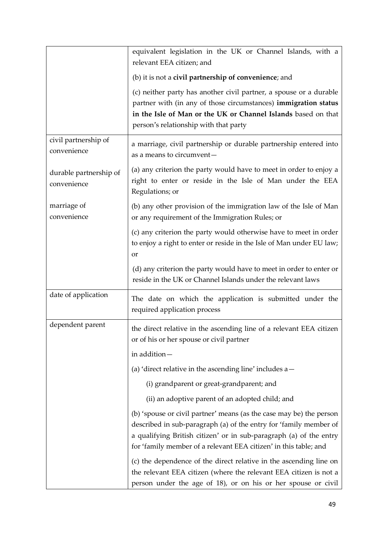|                                       | equivalent legislation in the UK or Channel Islands, with a<br>relevant EEA citizen; and                                                                                                                                                                                           |  |  |  |  |  |
|---------------------------------------|------------------------------------------------------------------------------------------------------------------------------------------------------------------------------------------------------------------------------------------------------------------------------------|--|--|--|--|--|
|                                       | (b) it is not a civil partnership of convenience; and                                                                                                                                                                                                                              |  |  |  |  |  |
|                                       | (c) neither party has another civil partner, a spouse or a durable<br>partner with (in any of those circumstances) immigration status<br>in the Isle of Man or the UK or Channel Islands based on that<br>person's relationship with that party                                    |  |  |  |  |  |
| civil partnership of<br>convenience   | a marriage, civil partnership or durable partnership entered into<br>as a means to circumvent-                                                                                                                                                                                     |  |  |  |  |  |
| durable partnership of<br>convenience | (a) any criterion the party would have to meet in order to enjoy a<br>right to enter or reside in the Isle of Man under the EEA<br>Regulations; or                                                                                                                                 |  |  |  |  |  |
| marriage of<br>convenience            | (b) any other provision of the immigration law of the Isle of Man<br>or any requirement of the Immigration Rules; or                                                                                                                                                               |  |  |  |  |  |
|                                       | (c) any criterion the party would otherwise have to meet in order<br>to enjoy a right to enter or reside in the Isle of Man under EU law;<br>or                                                                                                                                    |  |  |  |  |  |
|                                       | (d) any criterion the party would have to meet in order to enter or<br>reside in the UK or Channel Islands under the relevant laws                                                                                                                                                 |  |  |  |  |  |
| date of application                   | The date on which the application is submitted under the<br>required application process                                                                                                                                                                                           |  |  |  |  |  |
| dependent parent                      | the direct relative in the ascending line of a relevant EEA citizen<br>or of his or her spouse or civil partner                                                                                                                                                                    |  |  |  |  |  |
|                                       | in addition-                                                                                                                                                                                                                                                                       |  |  |  |  |  |
|                                       | (a) 'direct relative in the ascending line' includes a-                                                                                                                                                                                                                            |  |  |  |  |  |
|                                       | (i) grandparent or great-grandparent; and                                                                                                                                                                                                                                          |  |  |  |  |  |
|                                       | (ii) an adoptive parent of an adopted child; and                                                                                                                                                                                                                                   |  |  |  |  |  |
|                                       | (b) 'spouse or civil partner' means (as the case may be) the person<br>described in sub-paragraph (a) of the entry for 'family member of<br>a qualifying British citizen' or in sub-paragraph (a) of the entry<br>for 'family member of a relevant EEA citizen' in this table; and |  |  |  |  |  |
|                                       | (c) the dependence of the direct relative in the ascending line on<br>the relevant EEA citizen (where the relevant EEA citizen is not a<br>person under the age of 18), or on his or her spouse or civil                                                                           |  |  |  |  |  |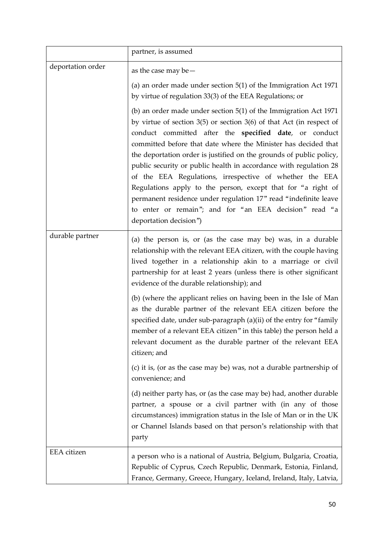|                   | partner, is assumed                                                                                                                                                                                                                                                                                                                                                                                                                                                                                                                                                                                                                                                                                                                                                                                                                                                                                                                                                                                                                                                            |  |  |  |  |
|-------------------|--------------------------------------------------------------------------------------------------------------------------------------------------------------------------------------------------------------------------------------------------------------------------------------------------------------------------------------------------------------------------------------------------------------------------------------------------------------------------------------------------------------------------------------------------------------------------------------------------------------------------------------------------------------------------------------------------------------------------------------------------------------------------------------------------------------------------------------------------------------------------------------------------------------------------------------------------------------------------------------------------------------------------------------------------------------------------------|--|--|--|--|
| deportation order | as the case may be $-$<br>(a) an order made under section $5(1)$ of the Immigration Act 1971<br>by virtue of regulation 33(3) of the EEA Regulations; or<br>(b) an order made under section $5(1)$ of the Immigration Act 1971<br>by virtue of section $3(5)$ or section $3(6)$ of that Act (in respect of<br>conduct committed after the specified date, or conduct<br>committed before that date where the Minister has decided that<br>the deportation order is justified on the grounds of public policy,<br>public security or public health in accordance with regulation 28<br>of the EEA Regulations, irrespective of whether the EEA<br>Regulations apply to the person, except that for "a right of<br>permanent residence under regulation 17" read "indefinite leave<br>to enter or remain"; and for "an EEA decision" read "a<br>deportation decision")                                                                                                                                                                                                           |  |  |  |  |
| durable partner   | (a) the person is, or (as the case may be) was, in a durable<br>relationship with the relevant EEA citizen, with the couple having<br>lived together in a relationship akin to a marriage or civil<br>partnership for at least 2 years (unless there is other significant<br>evidence of the durable relationship); and<br>(b) (where the applicant relies on having been in the Isle of Man<br>as the durable partner of the relevant EEA citizen before the<br>specified date, under sub-paragraph (a)(ii) of the entry for "family<br>member of a relevant EEA citizen" in this table) the person held a<br>relevant document as the durable partner of the relevant EEA<br>citizen; and<br>(c) it is, (or as the case may be) was, not a durable partnership of<br>convenience; and<br>(d) neither party has, or (as the case may be) had, another durable<br>partner, a spouse or a civil partner with (in any of those<br>circumstances) immigration status in the Isle of Man or in the UK<br>or Channel Islands based on that person's relationship with that<br>party |  |  |  |  |
| EEA citizen       | a person who is a national of Austria, Belgium, Bulgaria, Croatia,<br>Republic of Cyprus, Czech Republic, Denmark, Estonia, Finland,<br>France, Germany, Greece, Hungary, Iceland, Ireland, Italy, Latvia,                                                                                                                                                                                                                                                                                                                                                                                                                                                                                                                                                                                                                                                                                                                                                                                                                                                                     |  |  |  |  |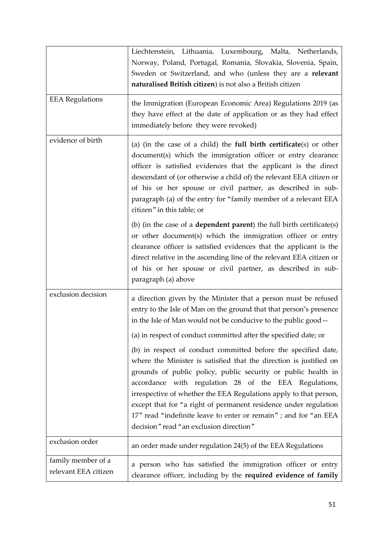|                                            | Liechtenstein, Lithuania, Luxembourg, Malta, Netherlands,<br>Norway, Poland, Portugal, Romania, Slovakia, Slovenia, Spain,<br>Sweden or Switzerland, and who (unless they are a relevant<br>naturalised British citizen) is not also a British citizen                                                                                                                                                                                                                                                                                                                                                                                                                                                                                                                                                |  |  |  |  |  |
|--------------------------------------------|-------------------------------------------------------------------------------------------------------------------------------------------------------------------------------------------------------------------------------------------------------------------------------------------------------------------------------------------------------------------------------------------------------------------------------------------------------------------------------------------------------------------------------------------------------------------------------------------------------------------------------------------------------------------------------------------------------------------------------------------------------------------------------------------------------|--|--|--|--|--|
| <b>EEA Regulations</b>                     | the Immigration (European Economic Area) Regulations 2019 (as<br>they have effect at the date of application or as they had effect<br>immediately before they were revoked)                                                                                                                                                                                                                                                                                                                                                                                                                                                                                                                                                                                                                           |  |  |  |  |  |
| evidence of birth                          | (a) (in the case of a child) the <b>full birth certificate</b> (s) or other<br>document(s) which the immigration officer or entry clearance<br>officer is satisfied evidences that the applicant is the direct<br>descendant of (or otherwise a child of) the relevant EEA citizen or<br>of his or her spouse or civil partner, as described in sub-<br>paragraph (a) of the entry for "family member of a relevant EEA<br>citizen" in this table; or                                                                                                                                                                                                                                                                                                                                                 |  |  |  |  |  |
|                                            | (b) (in the case of a <b>dependent parent</b> ) the full birth certificate(s)<br>or other document(s) which the immigration officer or entry<br>clearance officer is satisfied evidences that the applicant is the<br>direct relative in the ascending line of the relevant EEA citizen or<br>of his or her spouse or civil partner, as described in sub-<br>paragraph (a) above                                                                                                                                                                                                                                                                                                                                                                                                                      |  |  |  |  |  |
| exclusion decision                         | a direction given by the Minister that a person must be refused<br>entry to the Isle of Man on the ground that that person's presence<br>in the Isle of Man would not be conducive to the public good -<br>(a) in respect of conduct committed after the specified date; or<br>(b) in respect of conduct committed before the specified date,<br>where the Minister is satisfied that the direction is justified on<br>grounds of public policy, public security or public health in<br>accordance with regulation 28 of the EEA Regulations,<br>irrespective of whether the EEA Regulations apply to that person,<br>except that for "a right of permanent residence under regulation<br>17" read "indefinite leave to enter or remain" ; and for "an EEA<br>decision" read "an exclusion direction" |  |  |  |  |  |
| exclusion order                            | an order made under regulation 24(5) of the EEA Regulations                                                                                                                                                                                                                                                                                                                                                                                                                                                                                                                                                                                                                                                                                                                                           |  |  |  |  |  |
| family member of a<br>relevant EEA citizen | a person who has satisfied the immigration officer or entry<br>clearance officer, including by the required evidence of family                                                                                                                                                                                                                                                                                                                                                                                                                                                                                                                                                                                                                                                                        |  |  |  |  |  |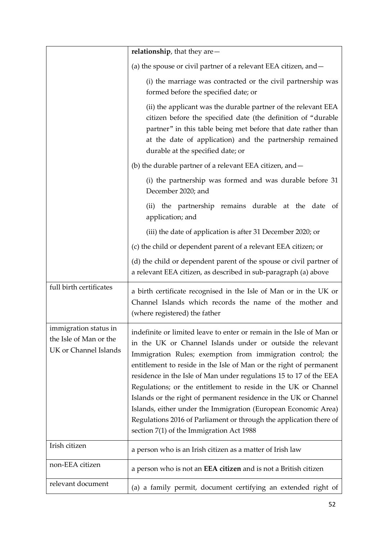|                                                                          | relationship, that they are $-$                                                                                                                                                                                                                                                                                                                                                                                                                                                                                                                                                                                                                                        |  |  |  |
|--------------------------------------------------------------------------|------------------------------------------------------------------------------------------------------------------------------------------------------------------------------------------------------------------------------------------------------------------------------------------------------------------------------------------------------------------------------------------------------------------------------------------------------------------------------------------------------------------------------------------------------------------------------------------------------------------------------------------------------------------------|--|--|--|
|                                                                          | (a) the spouse or civil partner of a relevant EEA citizen, and $-$                                                                                                                                                                                                                                                                                                                                                                                                                                                                                                                                                                                                     |  |  |  |
|                                                                          | (i) the marriage was contracted or the civil partnership was<br>formed before the specified date; or                                                                                                                                                                                                                                                                                                                                                                                                                                                                                                                                                                   |  |  |  |
|                                                                          | (ii) the applicant was the durable partner of the relevant EEA<br>citizen before the specified date (the definition of "durable<br>partner" in this table being met before that date rather than<br>at the date of application) and the partnership remained<br>durable at the specified date; or                                                                                                                                                                                                                                                                                                                                                                      |  |  |  |
|                                                                          | (b) the durable partner of a relevant EEA citizen, and -                                                                                                                                                                                                                                                                                                                                                                                                                                                                                                                                                                                                               |  |  |  |
|                                                                          | (i) the partnership was formed and was durable before 31<br>December 2020; and                                                                                                                                                                                                                                                                                                                                                                                                                                                                                                                                                                                         |  |  |  |
|                                                                          | (ii) the partnership remains durable at the date of<br>application; and                                                                                                                                                                                                                                                                                                                                                                                                                                                                                                                                                                                                |  |  |  |
|                                                                          | (iii) the date of application is after 31 December 2020; or                                                                                                                                                                                                                                                                                                                                                                                                                                                                                                                                                                                                            |  |  |  |
|                                                                          | (c) the child or dependent parent of a relevant EEA citizen; or                                                                                                                                                                                                                                                                                                                                                                                                                                                                                                                                                                                                        |  |  |  |
|                                                                          | (d) the child or dependent parent of the spouse or civil partner of<br>a relevant EEA citizen, as described in sub-paragraph (a) above                                                                                                                                                                                                                                                                                                                                                                                                                                                                                                                                 |  |  |  |
| full birth certificates                                                  | a birth certificate recognised in the Isle of Man or in the UK or<br>Channel Islands which records the name of the mother and<br>(where registered) the father                                                                                                                                                                                                                                                                                                                                                                                                                                                                                                         |  |  |  |
| immigration status in<br>the Isle of Man or the<br>UK or Channel Islands | indefinite or limited leave to enter or remain in the Isle of Man or<br>in the UK or Channel Islands under or outside the relevant<br>Immigration Rules; exemption from immigration control; the<br>entitlement to reside in the Isle of Man or the right of permanent<br>residence in the Isle of Man under regulations 15 to 17 of the EEA<br>Regulations; or the entitlement to reside in the UK or Channel<br>Islands or the right of permanent residence in the UK or Channel<br>Islands, either under the Immigration (European Economic Area)<br>Regulations 2016 of Parliament or through the application there of<br>section 7(1) of the Immigration Act 1988 |  |  |  |
| Irish citizen                                                            | a person who is an Irish citizen as a matter of Irish law                                                                                                                                                                                                                                                                                                                                                                                                                                                                                                                                                                                                              |  |  |  |
| non-EEA citizen                                                          | a person who is not an <b>EEA citizen</b> and is not a British citizen                                                                                                                                                                                                                                                                                                                                                                                                                                                                                                                                                                                                 |  |  |  |
| relevant document                                                        | (a) a family permit, document certifying an extended right of                                                                                                                                                                                                                                                                                                                                                                                                                                                                                                                                                                                                          |  |  |  |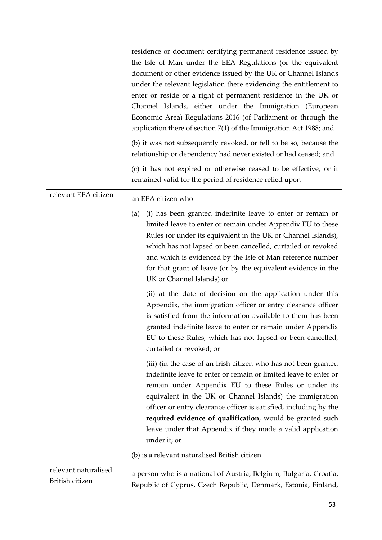|                                         | residence or document certifying permanent residence issued by<br>the Isle of Man under the EEA Regulations (or the equivalent<br>document or other evidence issued by the UK or Channel Islands<br>under the relevant legislation there evidencing the entitlement to<br>enter or reside or a right of permanent residence in the UK or<br>Channel Islands, either under the Immigration (European<br>Economic Area) Regulations 2016 (of Parliament or through the<br>application there of section $7(1)$ of the Immigration Act 1988; and<br>(b) it was not subsequently revoked, or fell to be so, because the<br>relationship or dependency had never existed or had ceased; and<br>(c) it has not expired or otherwise ceased to be effective, or it<br>remained valid for the period of residence relied upon |
|-----------------------------------------|----------------------------------------------------------------------------------------------------------------------------------------------------------------------------------------------------------------------------------------------------------------------------------------------------------------------------------------------------------------------------------------------------------------------------------------------------------------------------------------------------------------------------------------------------------------------------------------------------------------------------------------------------------------------------------------------------------------------------------------------------------------------------------------------------------------------|
| relevant EEA citizen                    | an EEA citizen who-                                                                                                                                                                                                                                                                                                                                                                                                                                                                                                                                                                                                                                                                                                                                                                                                  |
|                                         | (i) has been granted indefinite leave to enter or remain or<br>(a)<br>limited leave to enter or remain under Appendix EU to these<br>Rules (or under its equivalent in the UK or Channel Islands),<br>which has not lapsed or been cancelled, curtailed or revoked<br>and which is evidenced by the Isle of Man reference number<br>for that grant of leave (or by the equivalent evidence in the<br>UK or Channel Islands) or                                                                                                                                                                                                                                                                                                                                                                                       |
|                                         | (ii) at the date of decision on the application under this<br>Appendix, the immigration officer or entry clearance officer<br>is satisfied from the information available to them has been<br>granted indefinite leave to enter or remain under Appendix<br>EU to these Rules, which has not lapsed or been cancelled,<br>curtailed or revoked; or                                                                                                                                                                                                                                                                                                                                                                                                                                                                   |
|                                         | (iii) (in the case of an Irish citizen who has not been granted<br>indefinite leave to enter or remain or limited leave to enter or<br>remain under Appendix EU to these Rules or under its<br>equivalent in the UK or Channel Islands) the immigration<br>officer or entry clearance officer is satisfied, including by the<br>required evidence of qualification, would be granted such<br>leave under that Appendix if they made a valid application<br>under it; or                                                                                                                                                                                                                                                                                                                                              |
|                                         | (b) is a relevant naturalised British citizen                                                                                                                                                                                                                                                                                                                                                                                                                                                                                                                                                                                                                                                                                                                                                                        |
| relevant naturalised<br>British citizen | a person who is a national of Austria, Belgium, Bulgaria, Croatia,<br>Republic of Cyprus, Czech Republic, Denmark, Estonia, Finland,                                                                                                                                                                                                                                                                                                                                                                                                                                                                                                                                                                                                                                                                                 |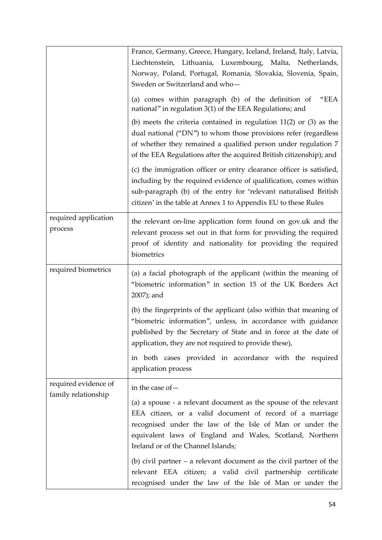|                                             | France, Germany, Greece, Hungary, Iceland, Ireland, Italy, Latvia,<br>Liechtenstein, Lithuania, Luxembourg, Malta, Netherlands,<br>Norway, Poland, Portugal, Romania, Slovakia, Slovenia, Spain,<br>Sweden or Switzerland and who-                                                 |
|---------------------------------------------|------------------------------------------------------------------------------------------------------------------------------------------------------------------------------------------------------------------------------------------------------------------------------------|
|                                             | (a) comes within paragraph (b) of the definition of<br>"EEA<br>national" in regulation 3(1) of the EEA Regulations; and                                                                                                                                                            |
|                                             | (b) meets the criteria contained in regulation $11(2)$ or $(3)$ as the<br>dual national ("DN") to whom those provisions refer (regardless<br>of whether they remained a qualified person under regulation 7<br>of the EEA Regulations after the acquired British citizenship); and |
|                                             | (c) the immigration officer or entry clearance officer is satisfied,<br>including by the required evidence of qualification, comes within<br>sub-paragraph (b) of the entry for 'relevant naturalised British<br>citizen' in the table at Annex 1 to Appendix EU to these Rules    |
| required application<br>process             | the relevant on-line application form found on gov.uk and the<br>relevant process set out in that form for providing the required<br>proof of identity and nationality for providing the required<br>biometrics                                                                    |
| required biometrics                         | (a) a facial photograph of the applicant (within the meaning of<br>"biometric information" in section 15 of the UK Borders Act<br>2007); and                                                                                                                                       |
|                                             | (b) the fingerprints of the applicant (also within that meaning of<br>"biometric information", unless, in accordance with guidance<br>published by the Secretary of State and in force at the date of<br>application, they are not required to provide these),                     |
|                                             | in both cases provided in accordance with the required<br>application process                                                                                                                                                                                                      |
| required evidence of<br>family relationship | in the case of -                                                                                                                                                                                                                                                                   |
|                                             | (a) a spouse - a relevant document as the spouse of the relevant<br>EEA citizen, or a valid document of record of a marriage<br>recognised under the law of the Isle of Man or under the<br>equivalent laws of England and Wales, Scotland, Northern                               |
|                                             | Ireland or of the Channel Islands;                                                                                                                                                                                                                                                 |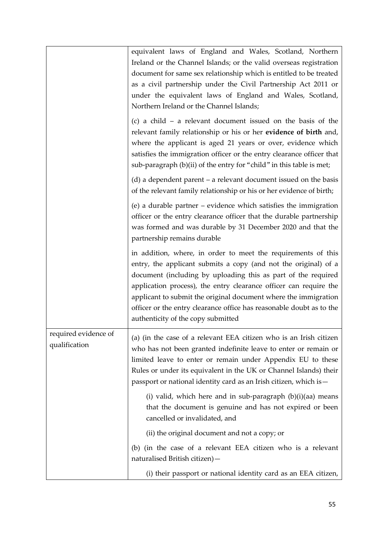|                                       | equivalent laws of England and Wales, Scotland, Northern<br>Ireland or the Channel Islands; or the valid overseas registration<br>document for same sex relationship which is entitled to be treated<br>as a civil partnership under the Civil Partnership Act 2011 or<br>under the equivalent laws of England and Wales, Scotland,<br>Northern Ireland or the Channel Islands;<br>(c) a child $-$ a relevant document issued on the basis of the<br>relevant family relationship or his or her evidence of birth and,<br>where the applicant is aged 21 years or over, evidence which<br>satisfies the immigration officer or the entry clearance officer that<br>sub-paragraph (b)(ii) of the entry for "child" in this table is met; |
|---------------------------------------|-----------------------------------------------------------------------------------------------------------------------------------------------------------------------------------------------------------------------------------------------------------------------------------------------------------------------------------------------------------------------------------------------------------------------------------------------------------------------------------------------------------------------------------------------------------------------------------------------------------------------------------------------------------------------------------------------------------------------------------------|
|                                       | $(d)$ a dependent parent – a relevant document issued on the basis<br>of the relevant family relationship or his or her evidence of birth;                                                                                                                                                                                                                                                                                                                                                                                                                                                                                                                                                                                              |
|                                       | (e) a durable partner $-$ evidence which satisfies the immigration<br>officer or the entry clearance officer that the durable partnership<br>was formed and was durable by 31 December 2020 and that the<br>partnership remains durable                                                                                                                                                                                                                                                                                                                                                                                                                                                                                                 |
|                                       | in addition, where, in order to meet the requirements of this<br>entry, the applicant submits a copy (and not the original) of a<br>document (including by uploading this as part of the required<br>application process), the entry clearance officer can require the<br>applicant to submit the original document where the immigration<br>officer or the entry clearance office has reasonable doubt as to the<br>authenticity of the copy submitted                                                                                                                                                                                                                                                                                 |
| required evidence of<br>qualification | (a) (in the case of a relevant EEA citizen who is an Irish citizen<br>who has not been granted indefinite leave to enter or remain or<br>limited leave to enter or remain under Appendix EU to these<br>Rules or under its equivalent in the UK or Channel Islands) their<br>passport or national identity card as an Irish citizen, which is -                                                                                                                                                                                                                                                                                                                                                                                         |
|                                       | (i) valid, which here and in sub-paragraph $(b)(i)(aa)$ means<br>that the document is genuine and has not expired or been<br>cancelled or invalidated, and                                                                                                                                                                                                                                                                                                                                                                                                                                                                                                                                                                              |
|                                       | (ii) the original document and not a copy; or                                                                                                                                                                                                                                                                                                                                                                                                                                                                                                                                                                                                                                                                                           |
|                                       | (b) (in the case of a relevant EEA citizen who is a relevant<br>naturalised British citizen) -                                                                                                                                                                                                                                                                                                                                                                                                                                                                                                                                                                                                                                          |
|                                       | (i) their passport or national identity card as an EEA citizen,                                                                                                                                                                                                                                                                                                                                                                                                                                                                                                                                                                                                                                                                         |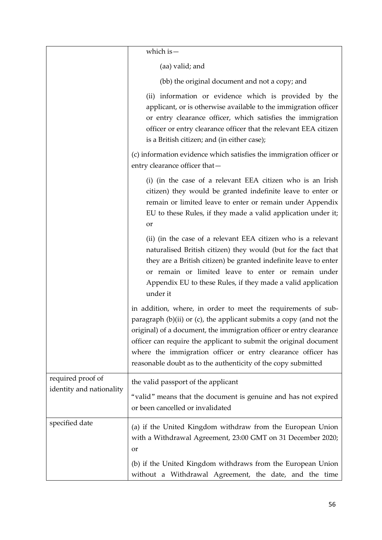|                                               | which is $-$                                                                                                                                                                                                                                                                                                                                                                                                           |  |  |  |  |
|-----------------------------------------------|------------------------------------------------------------------------------------------------------------------------------------------------------------------------------------------------------------------------------------------------------------------------------------------------------------------------------------------------------------------------------------------------------------------------|--|--|--|--|
|                                               | (aa) valid; and                                                                                                                                                                                                                                                                                                                                                                                                        |  |  |  |  |
|                                               | (bb) the original document and not a copy; and                                                                                                                                                                                                                                                                                                                                                                         |  |  |  |  |
|                                               | (ii) information or evidence which is provided by the<br>applicant, or is otherwise available to the immigration officer<br>or entry clearance officer, which satisfies the immigration<br>officer or entry clearance officer that the relevant EEA citizen<br>is a British citizen; and (in either case);                                                                                                             |  |  |  |  |
|                                               | (c) information evidence which satisfies the immigration officer or<br>entry clearance officer that-                                                                                                                                                                                                                                                                                                                   |  |  |  |  |
|                                               | (i) (in the case of a relevant EEA citizen who is an Irish<br>citizen) they would be granted indefinite leave to enter or<br>remain or limited leave to enter or remain under Appendix<br>EU to these Rules, if they made a valid application under it;<br>or                                                                                                                                                          |  |  |  |  |
|                                               | (ii) (in the case of a relevant EEA citizen who is a relevant<br>naturalised British citizen) they would (but for the fact that<br>they are a British citizen) be granted indefinite leave to enter<br>or remain or limited leave to enter or remain under<br>Appendix EU to these Rules, if they made a valid application<br>under it                                                                                 |  |  |  |  |
|                                               | in addition, where, in order to meet the requirements of sub-<br>paragraph $(b)(ii)$ or $(c)$ , the applicant submits a copy (and not the<br>original) of a document, the immigration officer or entry clearance<br>officer can require the applicant to submit the original document<br>where the immigration officer or entry clearance officer has<br>reasonable doubt as to the authenticity of the copy submitted |  |  |  |  |
| required proof of<br>identity and nationality | the valid passport of the applicant<br>"valid" means that the document is genuine and has not expired<br>or been cancelled or invalidated                                                                                                                                                                                                                                                                              |  |  |  |  |
| specified date                                | (a) if the United Kingdom withdraw from the European Union<br>with a Withdrawal Agreement, 23:00 GMT on 31 December 2020;<br>or                                                                                                                                                                                                                                                                                        |  |  |  |  |
|                                               | (b) if the United Kingdom withdraws from the European Union<br>without a Withdrawal Agreement, the date, and the time                                                                                                                                                                                                                                                                                                  |  |  |  |  |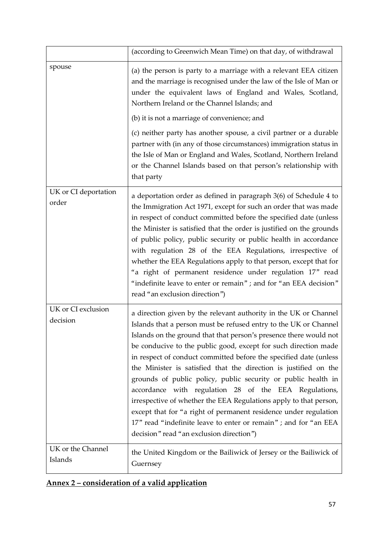|                                | (according to Greenwich Mean Time) on that day, of withdrawal                                                                                                                                                                                                                                                                                                                                                                                                                                                                                                                                                                                                                                                                                                                                           |
|--------------------------------|---------------------------------------------------------------------------------------------------------------------------------------------------------------------------------------------------------------------------------------------------------------------------------------------------------------------------------------------------------------------------------------------------------------------------------------------------------------------------------------------------------------------------------------------------------------------------------------------------------------------------------------------------------------------------------------------------------------------------------------------------------------------------------------------------------|
| spouse                         | (a) the person is party to a marriage with a relevant EEA citizen<br>and the marriage is recognised under the law of the Isle of Man or<br>under the equivalent laws of England and Wales, Scotland,<br>Northern Ireland or the Channel Islands; and<br>(b) it is not a marriage of convenience; and<br>(c) neither party has another spouse, a civil partner or a durable<br>partner with (in any of those circumstances) immigration status in<br>the Isle of Man or England and Wales, Scotland, Northern Ireland<br>or the Channel Islands based on that person's relationship with<br>that party                                                                                                                                                                                                   |
| UK or CI deportation<br>order  | a deportation order as defined in paragraph 3(6) of Schedule 4 to<br>the Immigration Act 1971, except for such an order that was made<br>in respect of conduct committed before the specified date (unless<br>the Minister is satisfied that the order is justified on the grounds<br>of public policy, public security or public health in accordance<br>with regulation 28 of the EEA Regulations, irrespective of<br>whether the EEA Regulations apply to that person, except that for<br>"a right of permanent residence under regulation 17" read<br>"indefinite leave to enter or remain" ; and for "an EEA decision"<br>read "an exclusion direction")                                                                                                                                           |
| UK or CI exclusion<br>decision | a direction given by the relevant authority in the UK or Channel<br>Islands that a person must be refused entry to the UK or Channel<br>Islands on the ground that that person's presence there would not<br>be conducive to the public good, except for such direction made<br>in respect of conduct committed before the specified date (unless<br>the Minister is satisfied that the direction is justified on the<br>grounds of public policy, public security or public health in<br>accordance with regulation 28 of the EEA Regulations,<br>irrespective of whether the EEA Regulations apply to that person,<br>except that for "a right of permanent residence under regulation<br>17" read "indefinite leave to enter or remain"; and for "an EEA<br>decision" read "an exclusion direction") |
| UK or the Channel<br>Islands   | the United Kingdom or the Bailiwick of Jersey or the Bailiwick of<br>Guernsey                                                                                                                                                                                                                                                                                                                                                                                                                                                                                                                                                                                                                                                                                                                           |

| Annex 2 – consideration of a valid application |  |  |
|------------------------------------------------|--|--|
|                                                |  |  |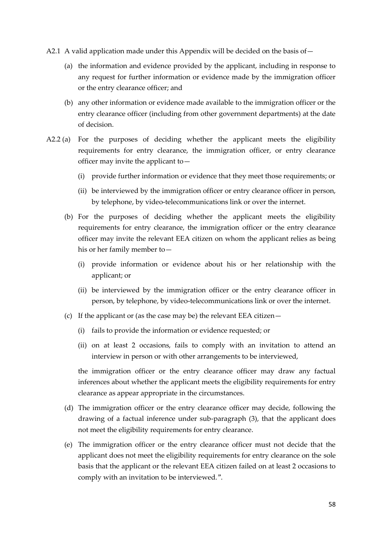- A2.1 A valid application made under this Appendix will be decided on the basis of  $-$ 
	- (a) the information and evidence provided by the applicant, including in response to any request for further information or evidence made by the immigration officer or the entry clearance officer; and
	- (b) any other information or evidence made available to the immigration officer or the entry clearance officer (including from other government departments) at the date of decision.
- A2.2 (a) For the purposes of deciding whether the applicant meets the eligibility requirements for entry clearance, the immigration officer, or entry clearance officer may invite the applicant to—
	- (i) provide further information or evidence that they meet those requirements; or
	- (ii) be interviewed by the immigration officer or entry clearance officer in person, by telephone, by video-telecommunications link or over the internet.
	- (b) For the purposes of deciding whether the applicant meets the eligibility requirements for entry clearance, the immigration officer or the entry clearance officer may invite the relevant EEA citizen on whom the applicant relies as being his or her family member to—
		- (i) provide information or evidence about his or her relationship with the applicant; or
		- (ii) be interviewed by the immigration officer or the entry clearance officer in person, by telephone, by video-telecommunications link or over the internet.
	- (c) If the applicant or (as the case may be) the relevant EEA citizen—
		- (i) fails to provide the information or evidence requested; or
		- (ii) on at least 2 occasions, fails to comply with an invitation to attend an interview in person or with other arrangements to be interviewed,

the immigration officer or the entry clearance officer may draw any factual inferences about whether the applicant meets the eligibility requirements for entry clearance as appear appropriate in the circumstances.

- (d) The immigration officer or the entry clearance officer may decide, following the drawing of a factual inference under sub-paragraph (3), that the applicant does not meet the eligibility requirements for entry clearance.
- (e) The immigration officer or the entry clearance officer must not decide that the applicant does not meet the eligibility requirements for entry clearance on the sole basis that the applicant or the relevant EEA citizen failed on at least 2 occasions to comply with an invitation to be interviewed.".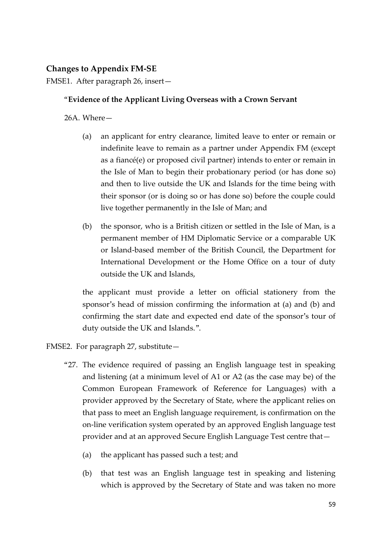## **Changes to Appendix FM-SE**

FMSE1. After paragraph 26, insert—

### "**Evidence of the Applicant Living Overseas with a Crown Servant**

26A. Where—

- (a) an applicant for entry clearance, limited leave to enter or remain or indefinite leave to remain as a partner under Appendix FM (except as a fiancé(e) or proposed civil partner) intends to enter or remain in the Isle of Man to begin their probationary period (or has done so) and then to live outside the UK and Islands for the time being with their sponsor (or is doing so or has done so) before the couple could live together permanently in the Isle of Man; and
- (b) the sponsor, who is a British citizen or settled in the Isle of Man, is a permanent member of HM Diplomatic Service or a comparable UK or Island-based member of the British Council, the Department for International Development or the Home Office on a tour of duty outside the UK and Islands,

the applicant must provide a letter on official stationery from the sponsor's head of mission confirming the information at (a) and (b) and confirming the start date and expected end date of the sponsor's tour of duty outside the UK and Islands.".

FMSE2. For paragraph 27, substitute—

- "27. The evidence required of passing an English language test in speaking and listening (at a minimum level of A1 or A2 (as the case may be) of the Common European Framework of Reference for Languages) with a provider approved by the Secretary of State, where the applicant relies on that pass to meet an English language requirement, is confirmation on the on-line verification system operated by an approved English language test provider and at an approved Secure English Language Test centre that—
	- (a) the applicant has passed such a test; and
	- (b) that test was an English language test in speaking and listening which is approved by the Secretary of State and was taken no more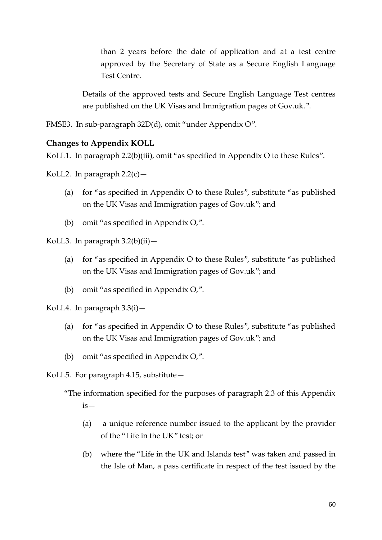than 2 years before the date of application and at a test centre approved by the Secretary of State as a Secure English Language Test Centre.

Details of the approved tests and Secure English Language Test centres are published on the UK Visas and Immigration pages of Gov.uk.".

FMSE3. In sub-paragraph 32D(d), omit "under Appendix O".

#### **Changes to Appendix KOLL**

KoLL1. In paragraph 2.2(b)(iii), omit "as specified in Appendix O to these Rules".

KoLL2. In paragraph  $2.2(c)$  —

- (a) for "as specified in Appendix O to these Rules", substitute "as published on the UK Visas and Immigration pages of Gov.uk"; and
- (b) omit "as specified in Appendix O,".

KoLL3. In paragraph 3.2(b)(ii)—

- (a) for "as specified in Appendix O to these Rules", substitute "as published on the UK Visas and Immigration pages of Gov.uk"; and
- (b) omit "as specified in Appendix O,".

KoLL4. In paragraph 3.3(i)—

- (a) for "as specified in Appendix O to these Rules", substitute "as published on the UK Visas and Immigration pages of Gov.uk"; and
- (b) omit "as specified in Appendix O,".

KoLL5. For paragraph 4.15, substitute—

- (a) a unique reference number issued to the applicant by the provider of the "Life in the UK" test; or
- (b) where the "Life in the UK and Islands test" was taken and passed in the Isle of Man, a pass certificate in respect of the test issued by the

<sup>&</sup>quot;The information specified for the purposes of paragraph 2.3 of this Appendix  $is-$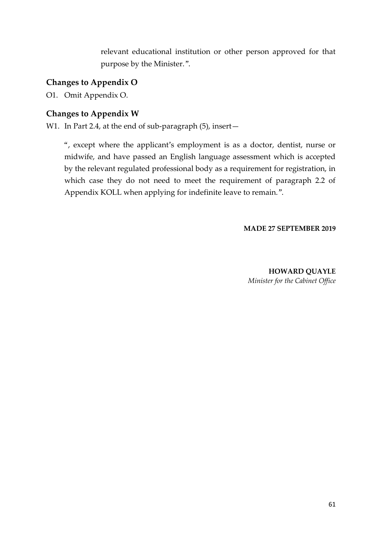relevant educational institution or other person approved for that purpose by the Minister.".

# **Changes to Appendix O**

O1. Omit Appendix O.

# **Changes to Appendix W**

W1. In Part 2.4, at the end of sub-paragraph (5), insert-

", except where the applicant's employment is as a doctor, dentist, nurse or midwife, and have passed an English language assessment which is accepted by the relevant regulated professional body as a requirement for registration, in which case they do not need to meet the requirement of paragraph 2.2 of Appendix KOLL when applying for indefinite leave to remain.".

#### **MADE 27 SEPTEMBER 2019**

**HOWARD QUAYLE** *Minister for the Cabinet Office*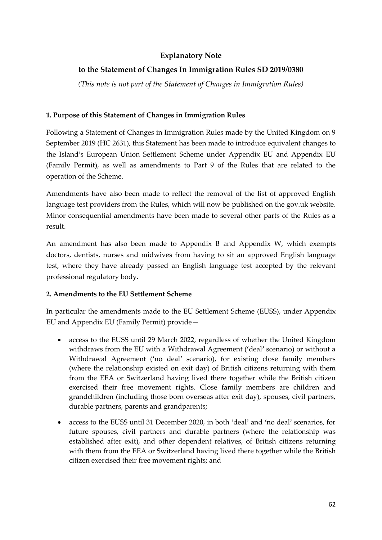## **Explanatory Note**

## **to the Statement of Changes In Immigration Rules SD 2019/0380**

*(This note is not part of the Statement of Changes in Immigration Rules)*

#### **1. Purpose of this Statement of Changes in Immigration Rules**

Following a Statement of Changes in Immigration Rules made by the United Kingdom on 9 September 2019 (HC 2631), this Statement has been made to introduce equivalent changes to the Island's European Union Settlement Scheme under Appendix EU and Appendix EU (Family Permit), as well as amendments to Part 9 of the Rules that are related to the operation of the Scheme.

Amendments have also been made to reflect the removal of the list of approved English language test providers from the Rules, which will now be published on the gov.uk website. Minor consequential amendments have been made to several other parts of the Rules as a result.

An amendment has also been made to Appendix B and Appendix W, which exempts doctors, dentists, nurses and midwives from having to sit an approved English language test, where they have already passed an English language test accepted by the relevant professional regulatory body.

#### **2. Amendments to the EU Settlement Scheme**

In particular the amendments made to the EU Settlement Scheme (EUSS), under Appendix EU and Appendix EU (Family Permit) provide—

- access to the EUSS until 29 March 2022, regardless of whether the United Kingdom withdraws from the EU with a Withdrawal Agreement ('deal' scenario) or without a Withdrawal Agreement ('no deal' scenario), for existing close family members (where the relationship existed on exit day) of British citizens returning with them from the EEA or Switzerland having lived there together while the British citizen exercised their free movement rights. Close family members are children and grandchildren (including those born overseas after exit day), spouses, civil partners, durable partners, parents and grandparents;
- access to the EUSS until 31 December 2020, in both 'deal' and 'no deal' scenarios, for future spouses, civil partners and durable partners (where the relationship was established after exit), and other dependent relatives, of British citizens returning with them from the EEA or Switzerland having lived there together while the British citizen exercised their free movement rights; and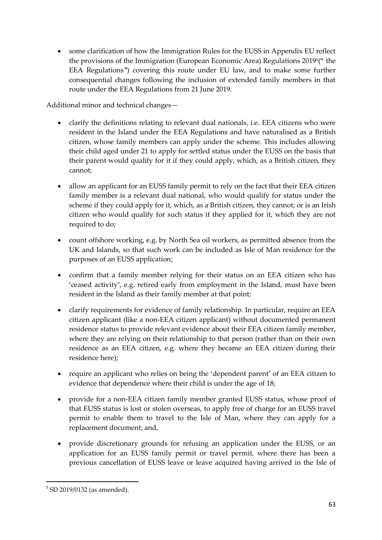some clarification of how the Immigration Rules for the EUSS in Appendix EU reflect the provisions of the Immigration (European Economic Area) Regulations 2019<sup>5</sup> (" the EEA Regulations") covering this route under EU law, and to make some further consequential changes following the inclusion of extended family members in that route under the EEA Regulations from 21 June 2019.

Additional minor and technical changes—

- clarify the definitions relating to relevant dual nationals, i.e. EEA citizens who were resident in the Island under the EEA Regulations and have naturalised as a British citizen, whose family members can apply under the scheme. This includes allowing their child aged under 21 to apply for settled status under the EUSS on the basis that their parent would qualify for it if they could apply, which, as a British citizen, they cannot;
- allow an applicant for an EUSS family permit to rely on the fact that their EEA citizen family member is a relevant dual national, who would qualify for status under the scheme if they could apply for it, which, as a British citizen, they cannot; or is an Irish citizen who would qualify for such status if they applied for it, which they are not required to do;
- count offshore working, e.g. by North Sea oil workers, as permitted absence from the UK and Islands, so that such work can be included as Isle of Man residence for the purposes of an EUSS application;
- confirm that a family member relying for their status on an EEA citizen who has 'ceased activity', e.g. retired early from employment in the Island, must have been resident in the Island as their family member at that point;
- clarify requirements for evidence of family relationship. In particular, require an EEA citizen applicant (like a non-EEA citizen applicant) without documented permanent residence status to provide relevant evidence about their EEA citizen family member, where they are relying on their relationship to that person (rather than on their own residence as an EEA citizen, e.g. where they became an EEA citizen during their residence here);
- require an applicant who relies on being the 'dependent parent' of an EEA citizen to evidence that dependence where their child is under the age of 18;
- provide for a non-EEA citizen family member granted EUSS status, whose proof of that EUSS status is lost or stolen overseas, to apply free of charge for an EUSS travel permit to enable them to travel to the Isle of Man, where they can apply for a replacement document; and,
- provide discretionary grounds for refusing an application under the EUSS, or an application for an EUSS family permit or travel permit, where there has been a previous cancellation of EUSS leave or leave acquired having arrived in the Isle of

 $\overline{\phantom{a}}$ 5 SD 2019/0132 (as amended).